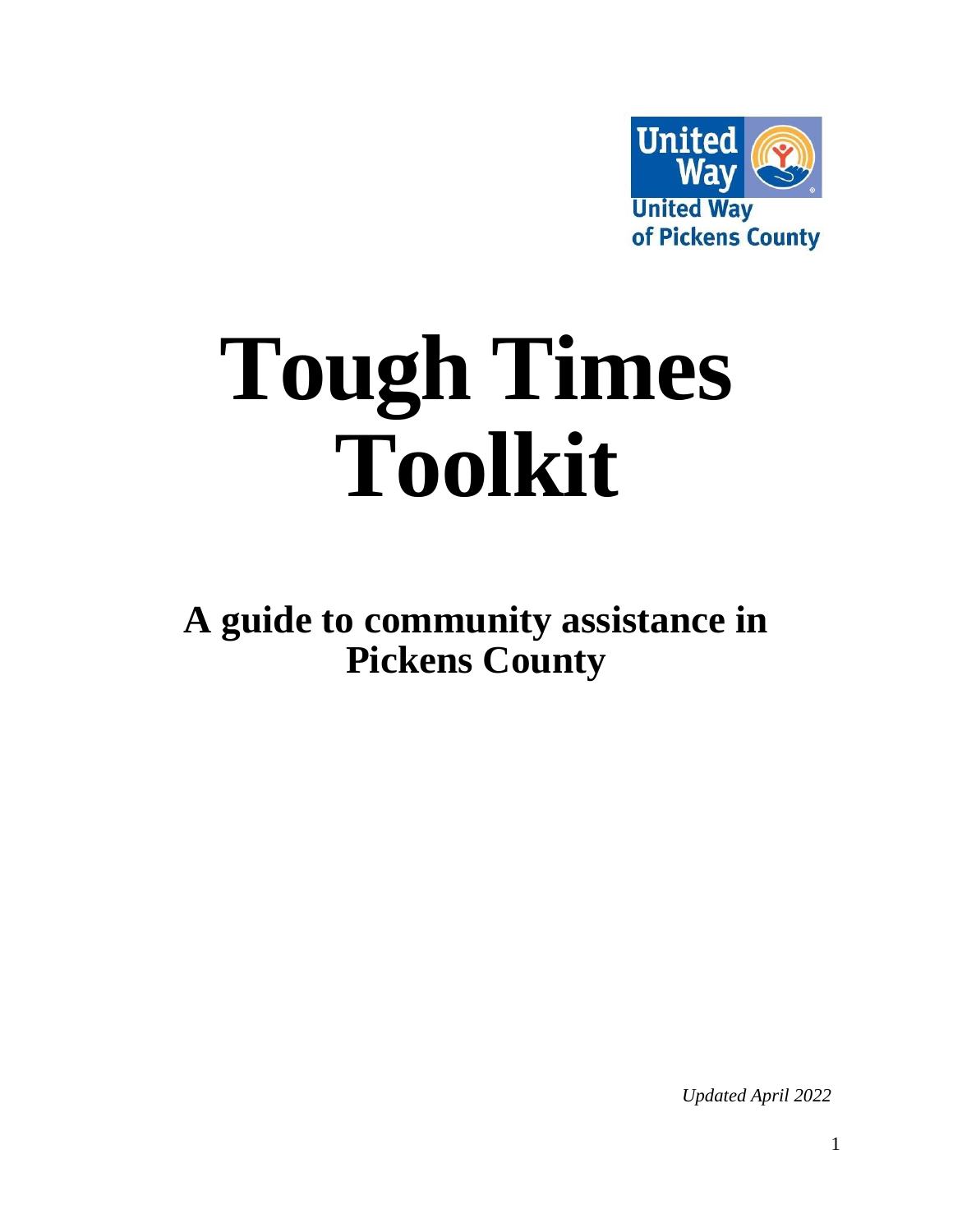

# **Tough Times Toolkit**

**A guide to community assistance in Pickens County**

*Updated April 2022*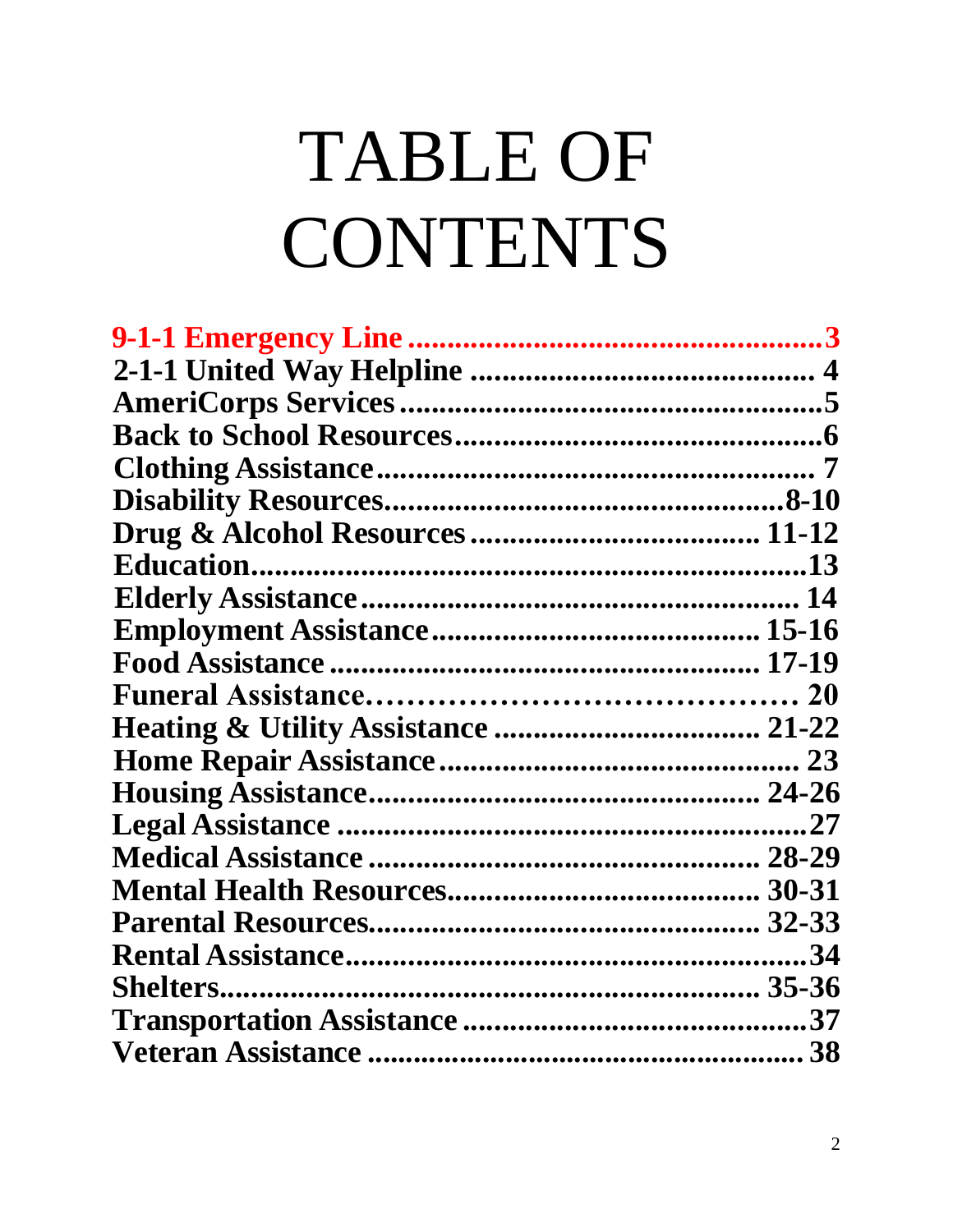# **TABLE OF** CONTENTS

| .27 |
|-----|
|     |
|     |
|     |
| .34 |
|     |
| 37  |
|     |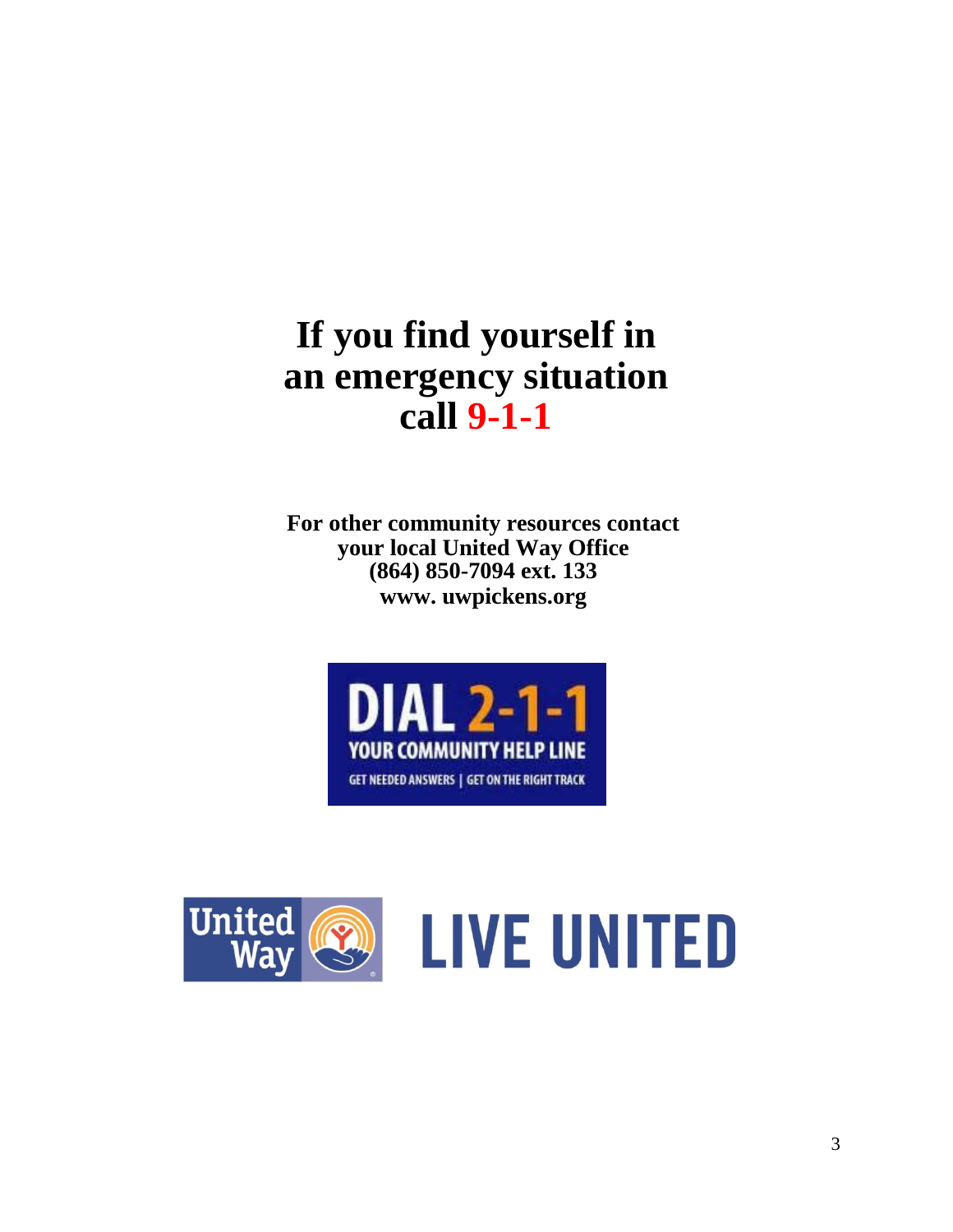### **If you find yourself in an emergency situation call 9-1-1**

**For other community resources contact your local United Way Office (864) 850-7094 ext. 133 [www. u](http://www/)wpickens.org**



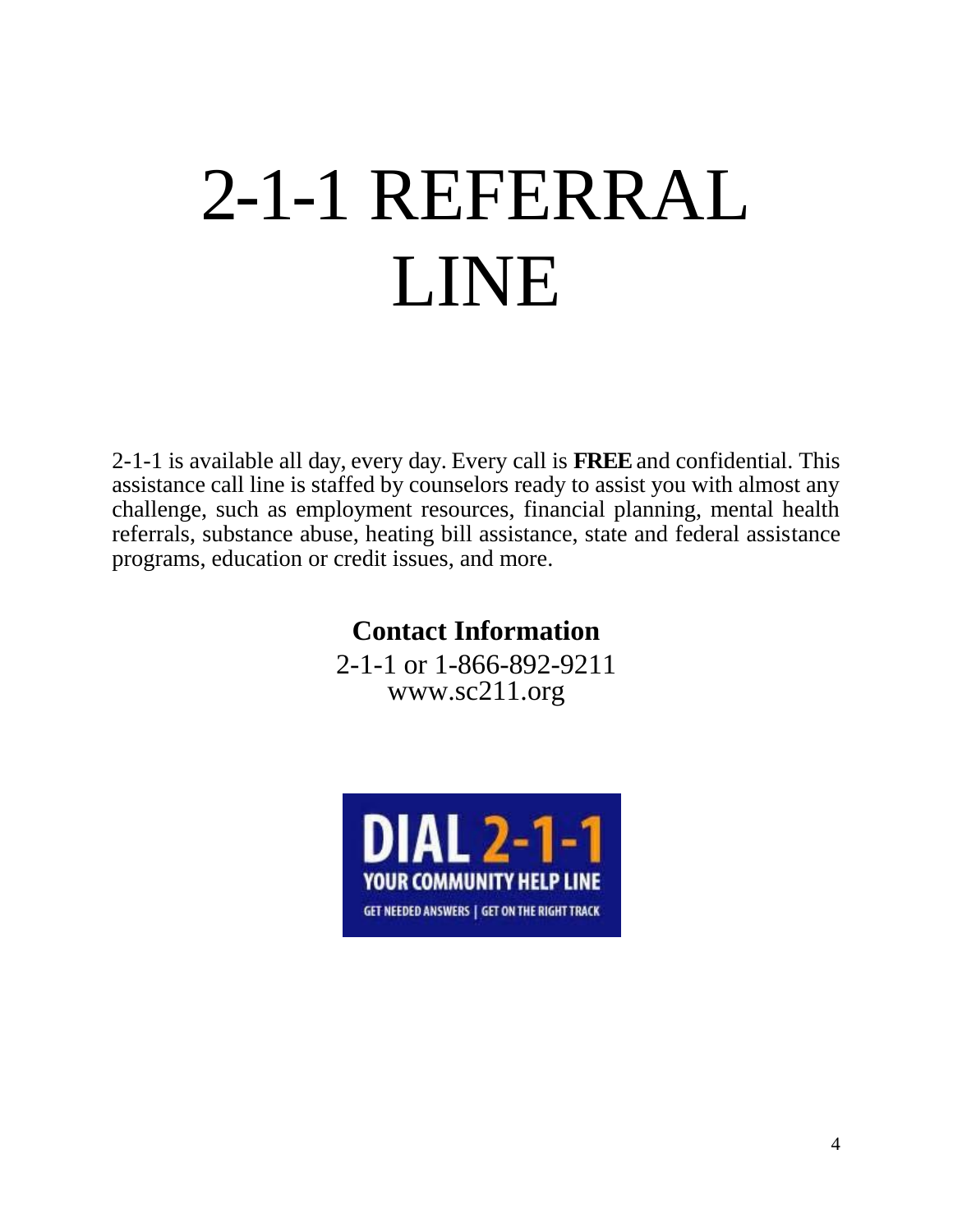# 2-1-1 REFERRAL LINE

2-1-1 is available all day, every day. Every call is **FREE** and confidential. This assistance call line is staffed by counselors ready to assist you with almost any challenge, such as employment resources, financial planning, mental health referrals, substance abuse, heating bill assistance, state and federal assistance programs, education or credit issues, and more.

### **Contact Information**

2-1-1 or 1-866-892-9211 [www.sc211.org](http://www.uway.org/get-help)

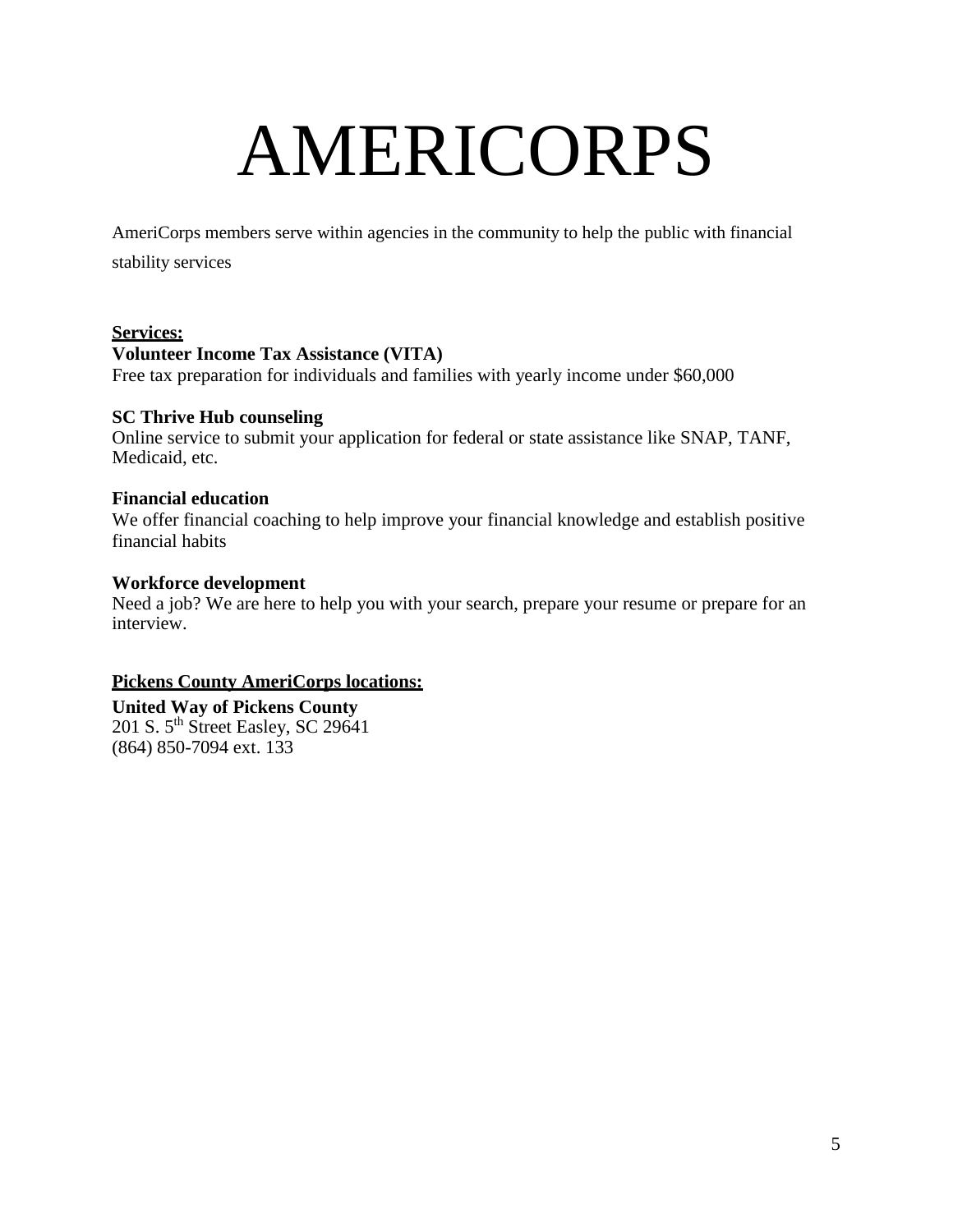### AMERICORPS

AmeriCorps members serve within agencies in the community to help the public with financial stability services

#### **Services:**

#### **Volunteer Income Tax Assistance (VITA)**

Free tax preparation for individuals and families with yearly income under \$60,000

#### **SC Thrive Hub counseling**

Online service to submit your application for federal or state assistance like SNAP, TANF, Medicaid, etc.

#### **Financial education**

We offer financial coaching to help improve your financial knowledge and establish positive financial habits

#### **Workforce development**

Need a job? We are here to help you with your search, prepare your resume or prepare for an interview.

#### **Pickens County AmeriCorps locations:**

**United Way of Pickens County** 201 S. 5<sup>th</sup> Street Easley, SC 29641 (864) 850-7094 ext. 133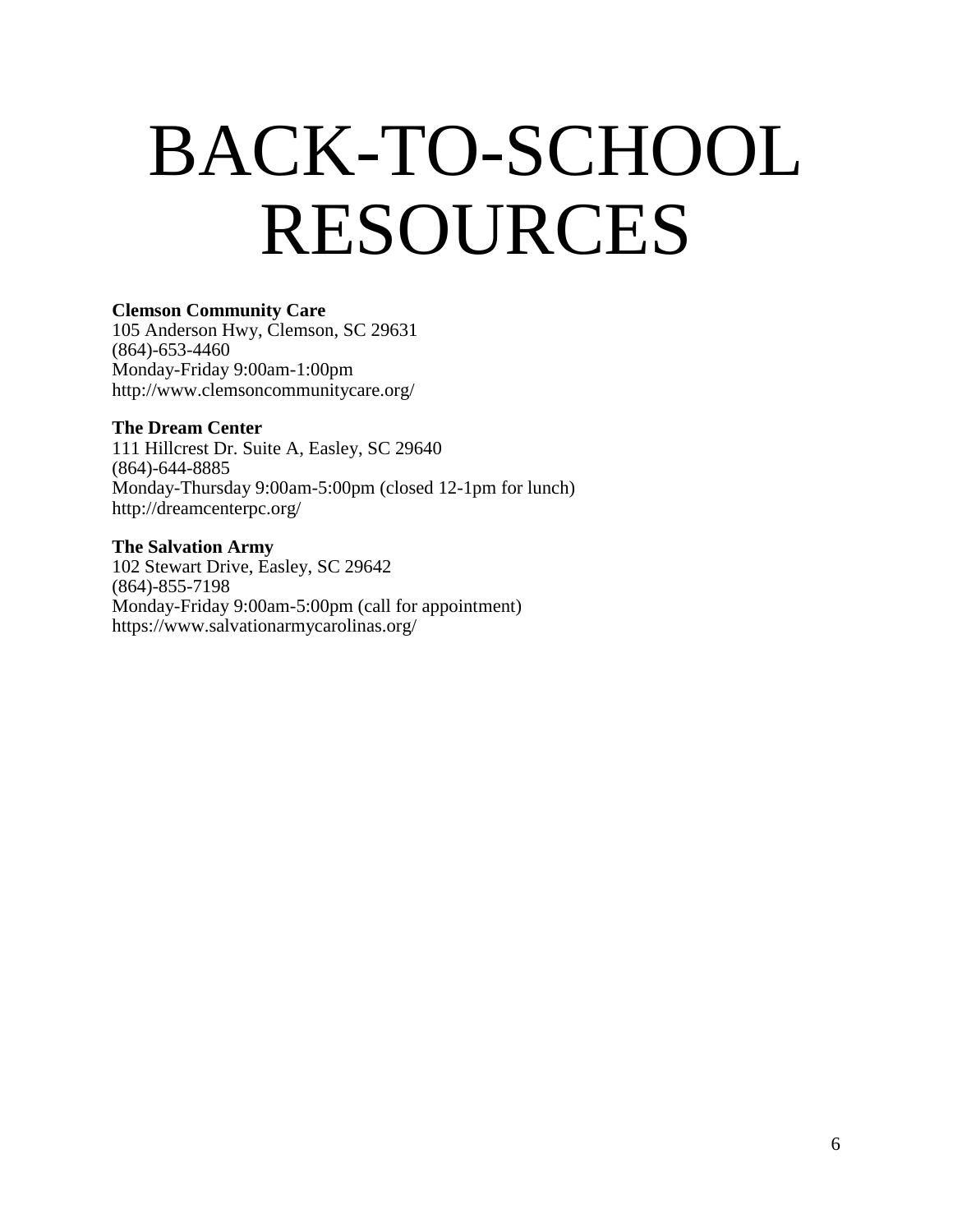### BACK-TO-SCHOOL RESOURCES

#### **Clemson Community Care**

105 Anderson Hwy, Clemson, SC 29631 (864)-653-4460 Monday-Friday 9:00am-1:00pm <http://www.clemsoncommunitycare.org/>

#### **The Dream Center**

111 Hillcrest Dr. Suite A, Easley, SC 29640 (864)-644-8885 Monday-Thursday 9:00am-5:00pm (closed 12-1pm for lunch) <http://dreamcenterpc.org/>

#### **The Salvation Army** 102 Stewart Drive, Easley, SC 29642 (864)-855-7198 Monday-Friday 9:00am-5:00pm (call for appointment) <https://www.salvationarmycarolinas.org/>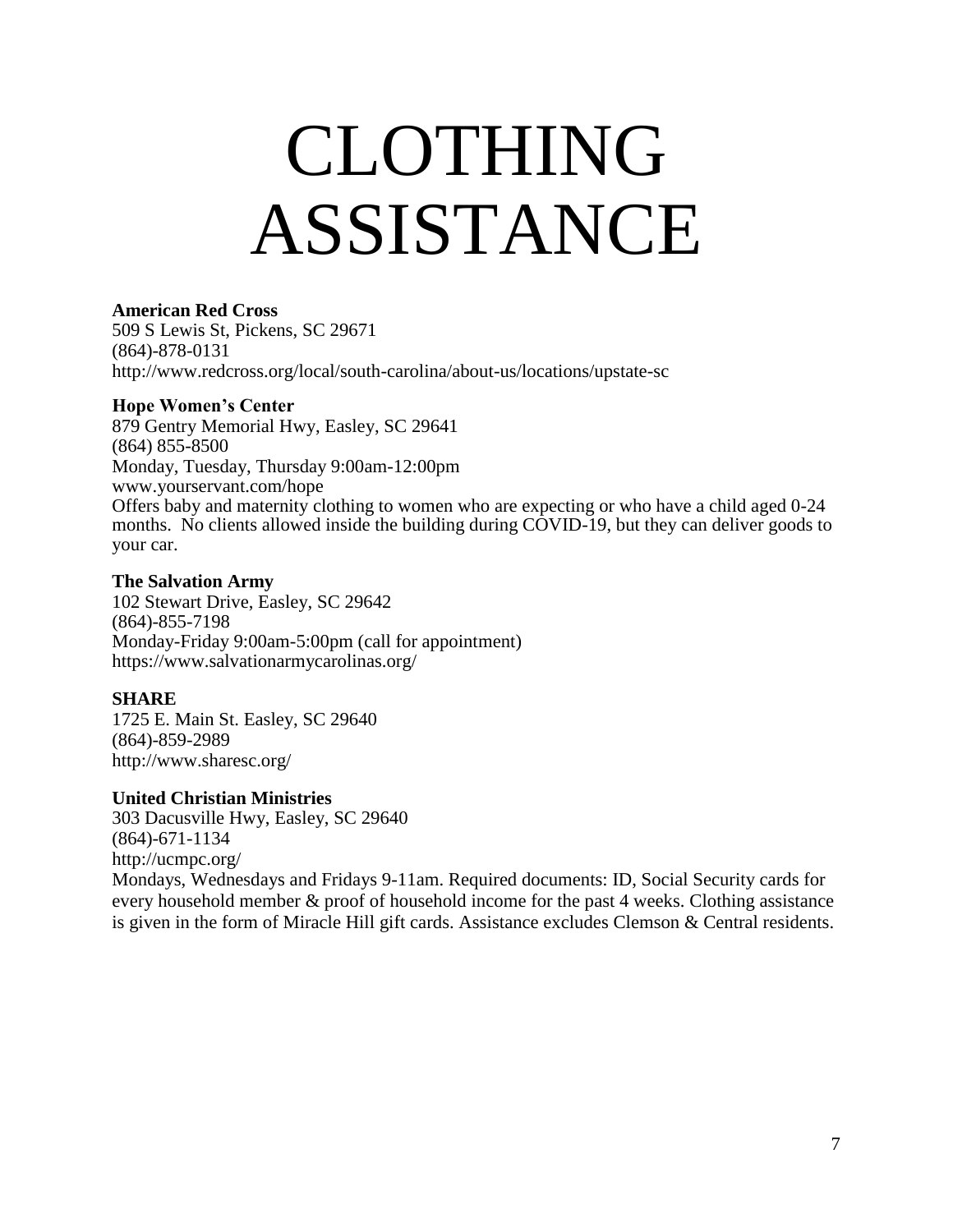### CLOTHING ASSISTANCE

#### **American Red Cross**

509 S Lewis St, Pickens, SC 29671 (864)-878-0131 <http://www.redcross.org/local/south-carolina/about-us/locations/upstate-sc>

#### **Hope Women's Center**

879 Gentry Memorial Hwy, Easley, SC 29641 (864) 855-8500 Monday, Tuesday, Thursday 9:00am-12:00pm [www.yourservant.com/hope](http://www.yourservant.com/hope) Offers baby and maternity clothing to women who are expecting or who have a child aged 0-24 months. No clients allowed inside the building during COVID-19, but they can deliver goods to your car.

#### **The Salvation Army**

102 Stewart Drive, Easley, SC 29642 (864)-855-7198 Monday-Friday 9:00am-5:00pm (call for appointment) <https://www.salvationarmycarolinas.org/>

#### **SHARE**

1725 E. Main St. Easley, SC 29640 (864)-859-2989 <http://www.sharesc.org/>

#### **United Christian Ministries**

303 Dacusville Hwy, Easley, SC 29640 (864)-671-1134 <http://ucmpc.org/>

Mondays, Wednesdays and Fridays 9-11am. Required documents: ID, Social Security cards for every household member & proof of household income for the past 4 weeks. Clothing assistance is given in the form of Miracle Hill gift cards. Assistance excludes Clemson & Central residents.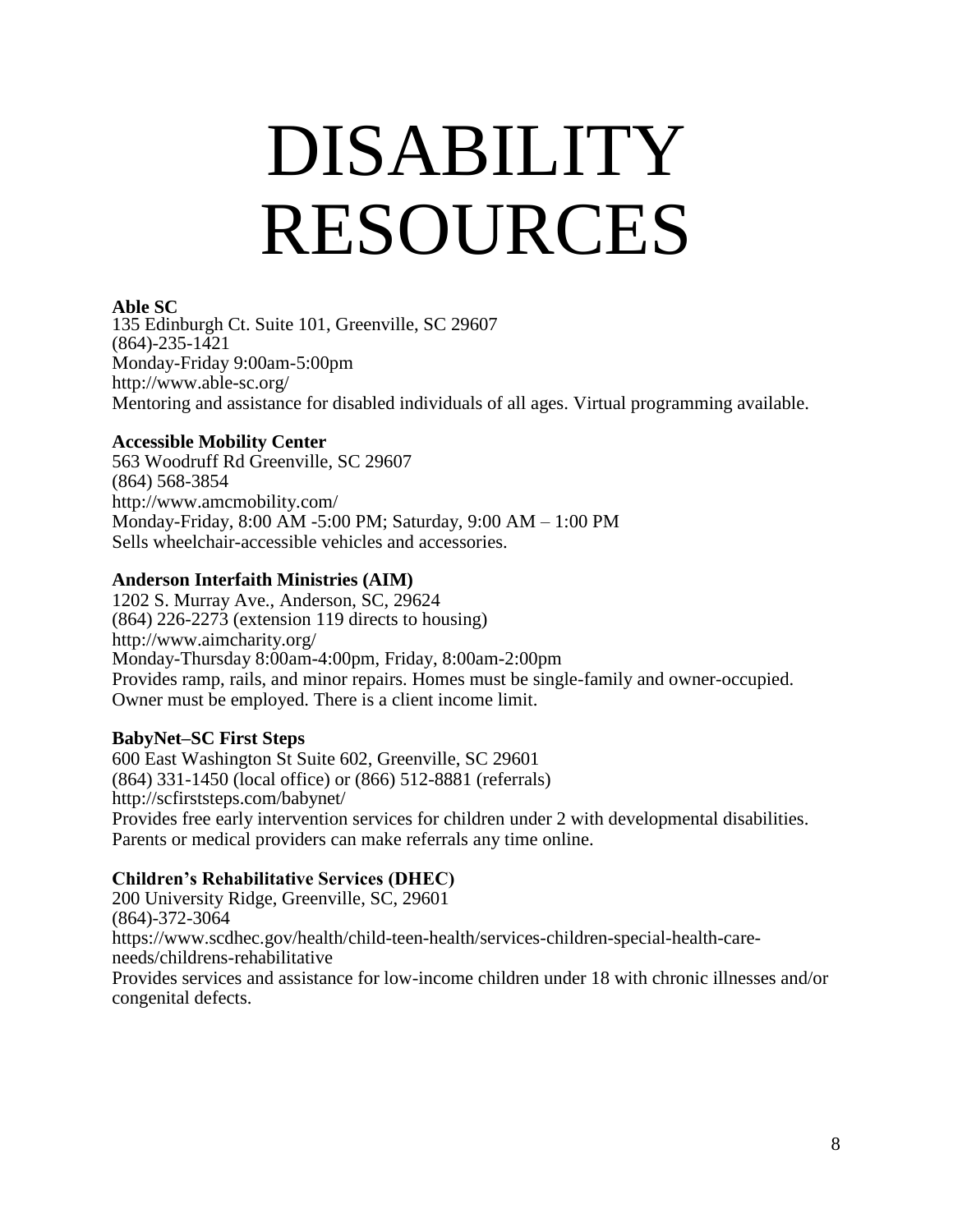### DISABILITY RESOURCES

#### **Able SC**

135 Edinburgh Ct. Suite 101, Greenville, SC 29607 (864)-235-1421 Monday-Friday 9:00am-5:00pm <http://www.able-sc.org/> Mentoring and assistance for disabled individuals of all ages. Virtual programming available.

#### **Accessible Mobility Center**

563 Woodruff Rd Greenville, SC 29607 (864) 568-3854 <http://www.amcmobility.com/> Monday-Friday, 8:00 AM -5:00 PM; Saturday, 9:00 AM – 1:00 PM Sells wheelchair-accessible vehicles and accessories.

#### **Anderson Interfaith Ministries (AIM)**

1202 S. Murray Ave., Anderson, SC, 29624 (864) 226-2273 (extension 119 directs to housing) <http://www.aimcharity.org/> Monday-Thursday 8:00am-4:00pm, Friday, 8:00am-2:00pm Provides ramp, rails, and minor repairs. Homes must be single-family and owner-occupied. Owner must be employed. There is a client income limit.

#### **BabyNet–SC First Steps**

600 East Washington St Suite 602, Greenville, SC 29601 (864) 331-1450 (local office) or (866) 512-8881 (referrals) <http://scfirststeps.com/babynet/> Provides free early intervention services for children under 2 with developmental disabilities. Parents or medical providers can make referrals any time online.

#### **Children's Rehabilitative Services (DHEC)**

200 University Ridge, Greenville, SC, 29601 (864)-372-3064 [https://www.scdhec.gov/health/child-teen-health/services-children-special-health-care](https://www.scdhec.gov/health/child-teen-health/services-children-special-health-care-needs/childrens-rehabilitative)[needs/childrens-rehabilitative](https://www.scdhec.gov/health/child-teen-health/services-children-special-health-care-needs/childrens-rehabilitative) Provides services and assistance for low-income children under 18 with chronic illnesses and/or congenital defects.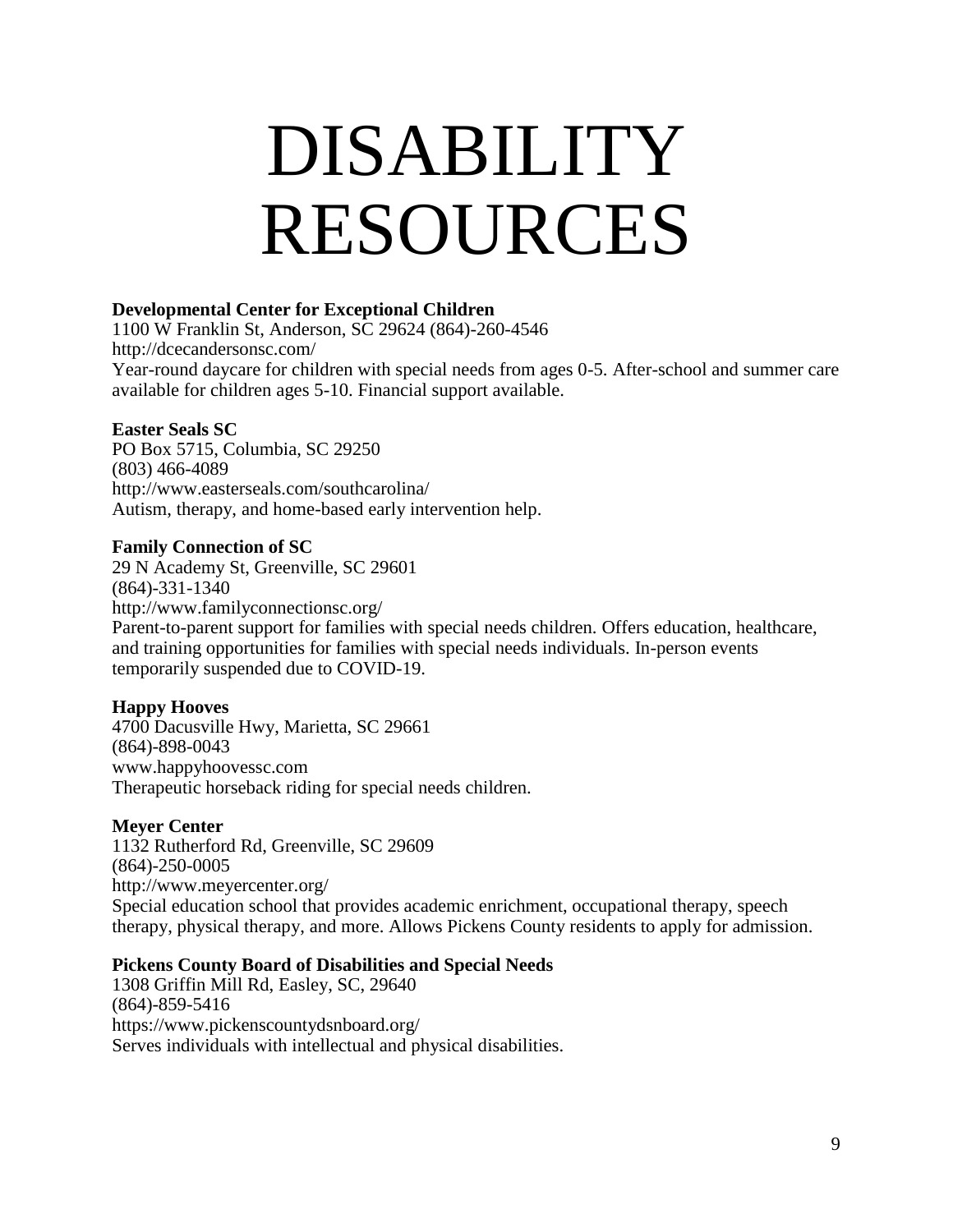### DISABILITY RESOURCES

#### **Developmental Center for Exceptional Children**

1100 W Franklin St, Anderson, SC 29624 (864)-260-4546 <http://dcecandersonsc.com/> Year-round daycare for children with special needs from ages 0-5. After-school and summer care available for children ages 5-10. Financial support available.

#### **Easter Seals SC**

PO Box 5715, Columbia, SC 29250 (803) 466-4089 <http://www.easterseals.com/southcarolina/> Autism, therapy, and home-based early intervention help.

#### **Family Connection of SC**

29 N Academy St, Greenville, SC 29601 (864)-331-1340 <http://www.familyconnectionsc.org/> Parent-to-parent support for families with special needs children. Offers education, healthcare, and training opportunities for families with special needs individuals. In-person events temporarily suspended due to COVID-19.

#### **Happy Hooves**

4700 Dacusville Hwy, Marietta, SC 29661 (864)-898-0043 [www.happyhoovessc.com](http://www.happyhoovessc.com/) Therapeutic horseback riding for special needs children.

#### **Meyer Center**

1132 Rutherford Rd, Greenville, SC 29609 (864)-250-0005 <http://www.meyercenter.org/> Special education school that provides academic enrichment, occupational therapy, speech therapy, physical therapy, and more. Allows Pickens County residents to apply for admission.

#### **Pickens County Board of Disabilities and Special Needs**

1308 Griffin Mill Rd, Easley, SC, 29640 (864)-859-5416 <https://www.pickenscountydsnboard.org/> Serves individuals with intellectual and physical disabilities.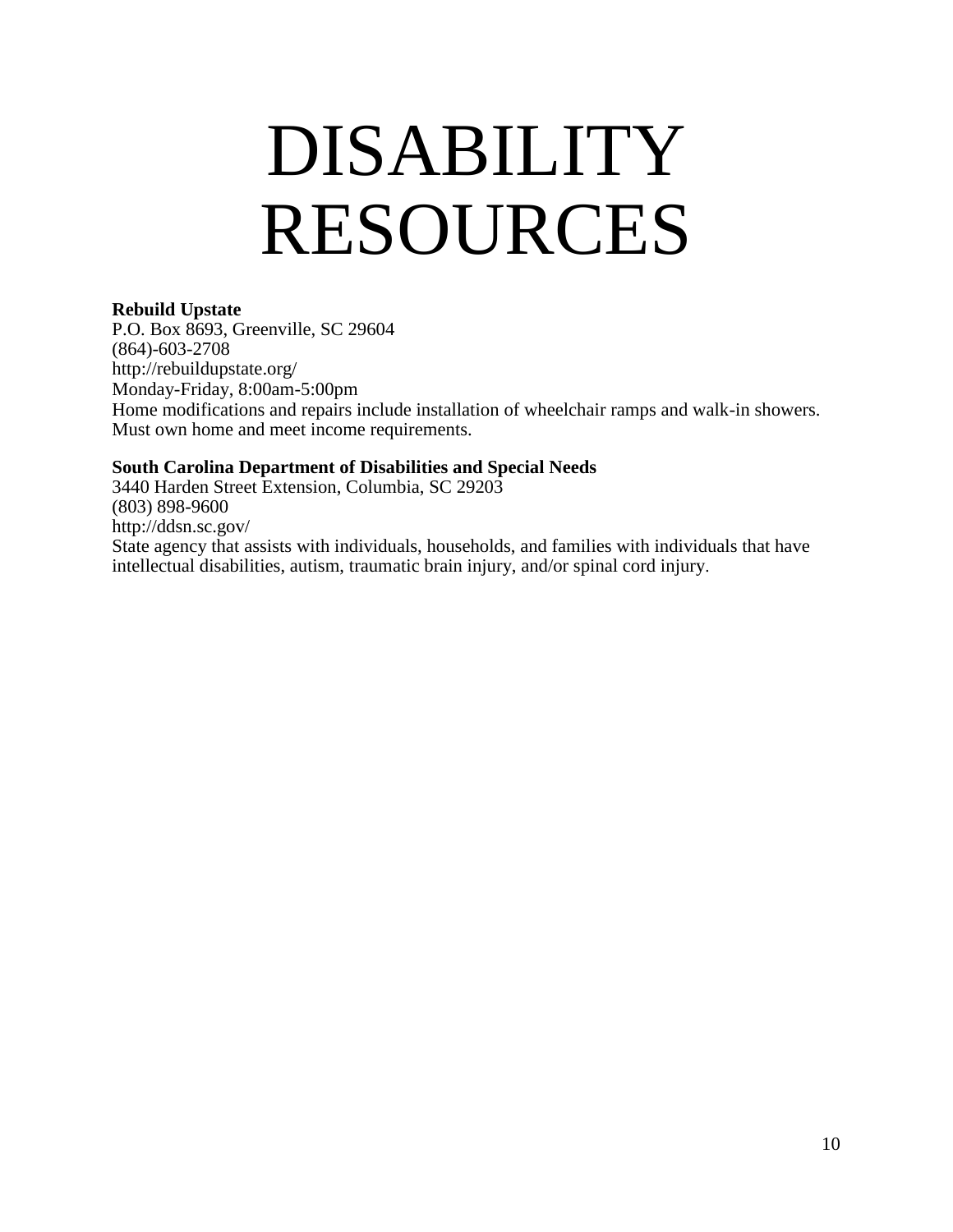### DISABILITY RESOURCES

#### **Rebuild Upstate**

P.O. Box 8693, Greenville, SC 29604 (864)-603-2708 <http://rebuildupstate.org/> Monday-Friday, 8:00am-5:00pm Home modifications and repairs include installation of wheelchair ramps and walk-in showers. Must own home and meet income requirements.

#### **South Carolina Department of Disabilities and Special Needs**

3440 Harden Street Extension, Columbia, SC 29203 (803) 898-9600 <http://ddsn.sc.gov/> State agency that assists with individuals, households, and families with individuals that have intellectual disabilities, autism, traumatic brain injury, and/or spinal cord injury.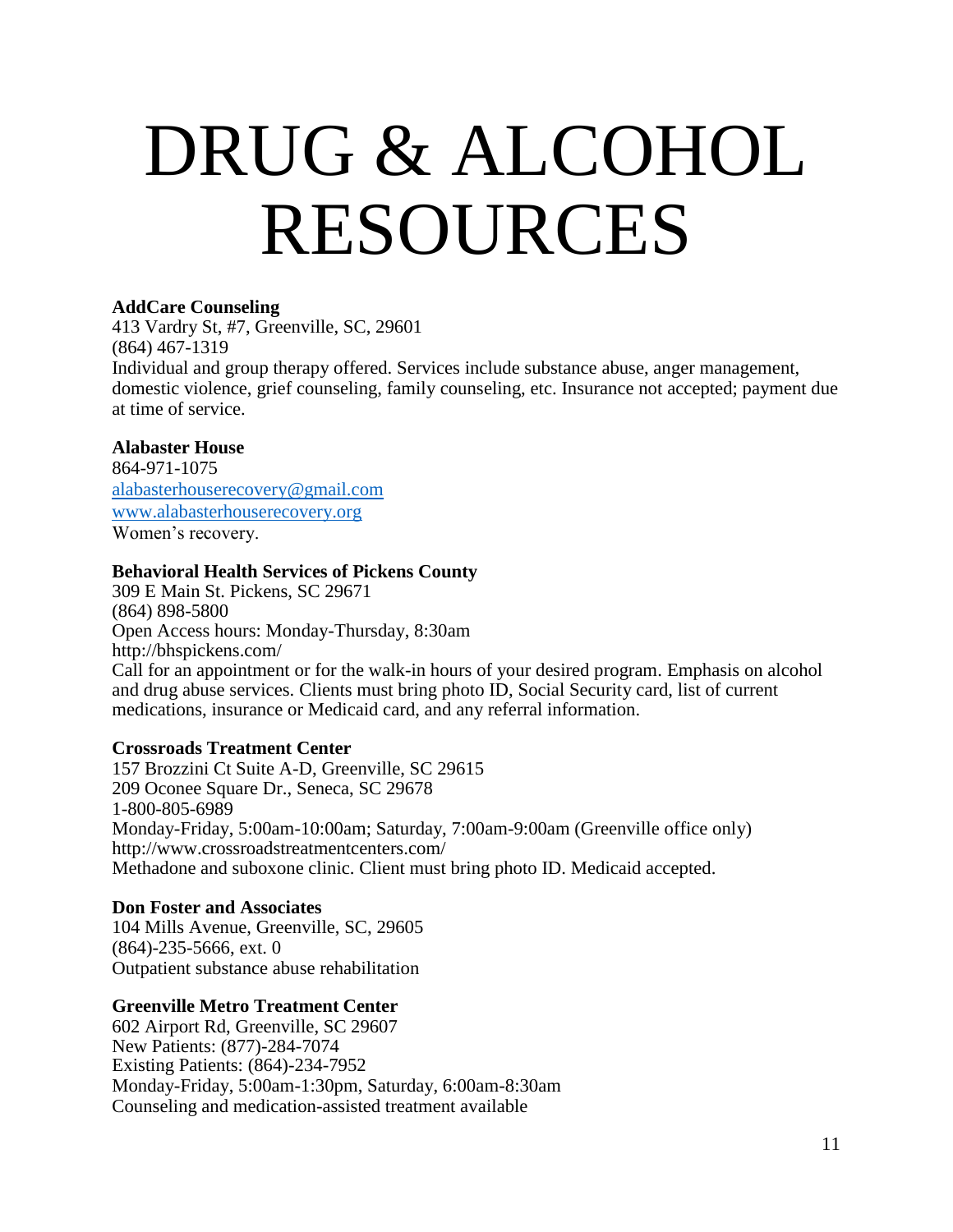### DRUG & ALCOHOL RESOURCES

#### **AddCare Counseling**

413 Vardry St, #7, Greenville, SC, 29601 (864) 467-1319 Individual and group therapy offered. Services include substance abuse, anger management, domestic violence, grief counseling, family counseling, etc. Insurance not accepted; payment due at time of service.

#### **Alabaster House**

864-971-1075 [alabasterhouserecovery@gmail.com](mailto:alabasterhouserecovery@gmail.com) [www.alabasterhouserecovery.org](http://www.alabasterhouserecovery.org/) Women's recovery.

#### **Behavioral Health Services of Pickens County**

309 E Main St. Pickens, SC 29671 (864) 898-5800 Open Access hours: Monday-Thursday, 8:30am <http://bhspickens.com/> Call for an appointment or for the walk-in hours of your desired program. Emphasis on alcohol and drug abuse services. Clients must bring photo ID, Social Security card, list of current medications, insurance or Medicaid card, and any referral information.

#### **Crossroads Treatment Center**

157 Brozzini Ct Suite A-D, Greenville, SC 29615 209 Oconee Square Dr., Seneca, SC 29678 1-800-805-6989 Monday-Friday, 5:00am-10:00am; Saturday, 7:00am-9:00am (Greenville office only) <http://www.crossroadstreatmentcenters.com/> Methadone and suboxone clinic. Client must bring photo ID. Medicaid accepted.

#### **Don Foster and Associates**

104 Mills Avenue, Greenville, SC, 29605 (864)-235-5666, ext. 0 Outpatient substance abuse rehabilitation

#### **Greenville Metro Treatment Center**

602 Airport Rd, Greenville, SC 29607 New Patients: (877)-284-7074 Existing Patients: (864)-234-7952 Monday-Friday, 5:00am-1:30pm, Saturday, 6:00am-8:30am Counseling and medication-assisted treatment available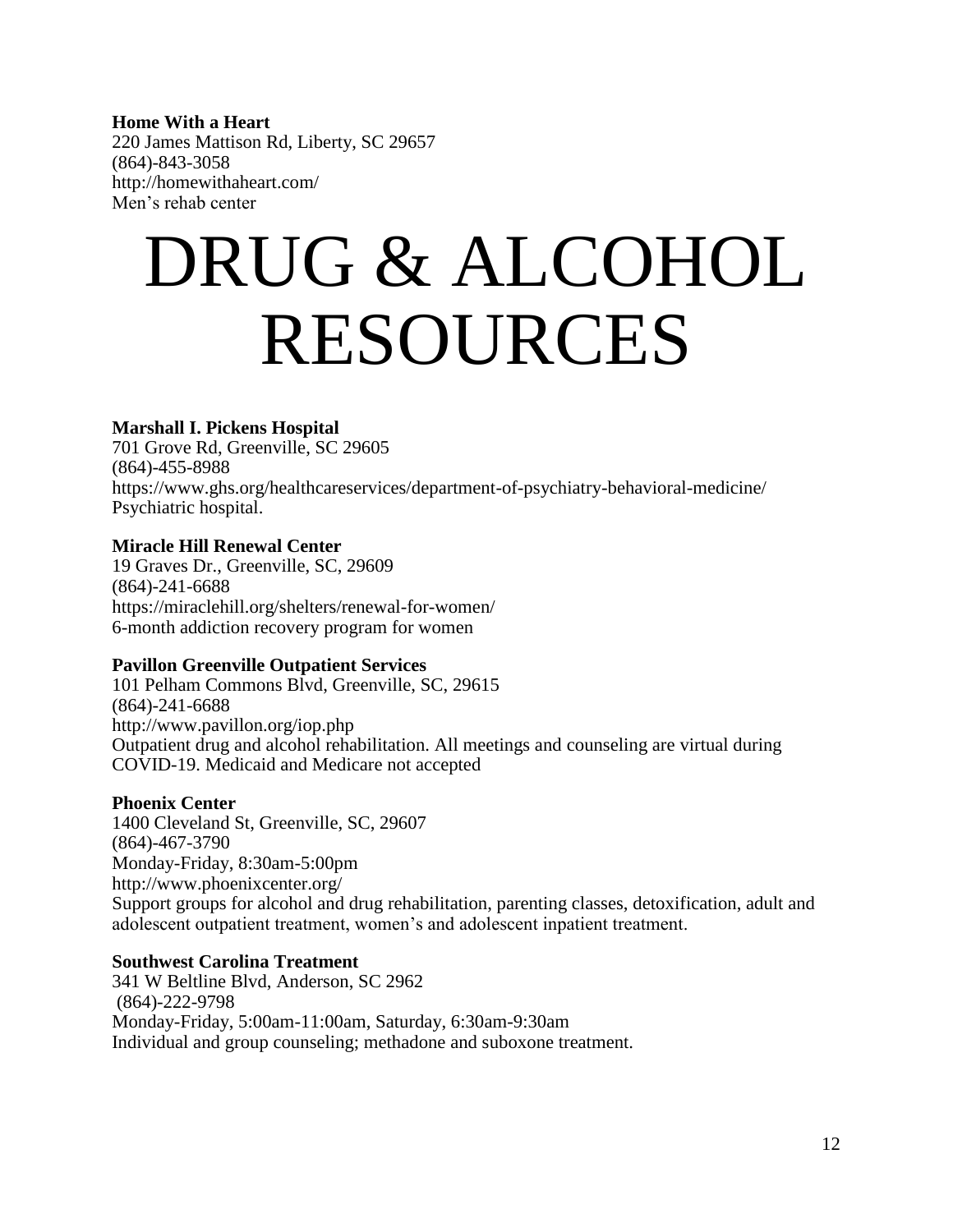#### **Home With a Heart**

220 James Mattison Rd, Liberty, SC 29657 (864)-843-3058 <http://homewithaheart.com/> Men's rehab center

### DRUG & ALCOHOL RESOURCES

#### **Marshall I. Pickens Hospital**

701 Grove Rd, Greenville, SC 29605 (864)-455-8988 <https://www.ghs.org/healthcareservices/department-of-psychiatry-behavioral-medicine/> Psychiatric hospital.

#### **Miracle Hill Renewal Center**

19 Graves Dr., Greenville, SC, 29609 (864)-241-6688 <https://miraclehill.org/shelters/renewal-for-women/> 6-month addiction recovery program for women

#### **Pavillon Greenville Outpatient Services**

101 Pelham Commons Blvd, Greenville, SC, 29615 (864)-241-6688 <http://www.pavillon.org/iop.php> Outpatient drug and alcohol rehabilitation. All meetings and counseling are virtual during COVID-19. Medicaid and Medicare not accepted

#### **Phoenix Center**

1400 Cleveland St, Greenville, SC, 29607 (864)-467-3790 Monday-Friday, 8:30am-5:00pm <http://www.phoenixcenter.org/> Support groups for alcohol and drug rehabilitation, parenting classes, detoxification, adult and adolescent outpatient treatment, women's and adolescent inpatient treatment.

#### **Southwest Carolina Treatment**

341 W Beltline Blvd, Anderson, SC 2962 (864)-222-9798 Monday-Friday, 5:00am-11:00am, Saturday, 6:30am-9:30am Individual and group counseling; methadone and suboxone treatment.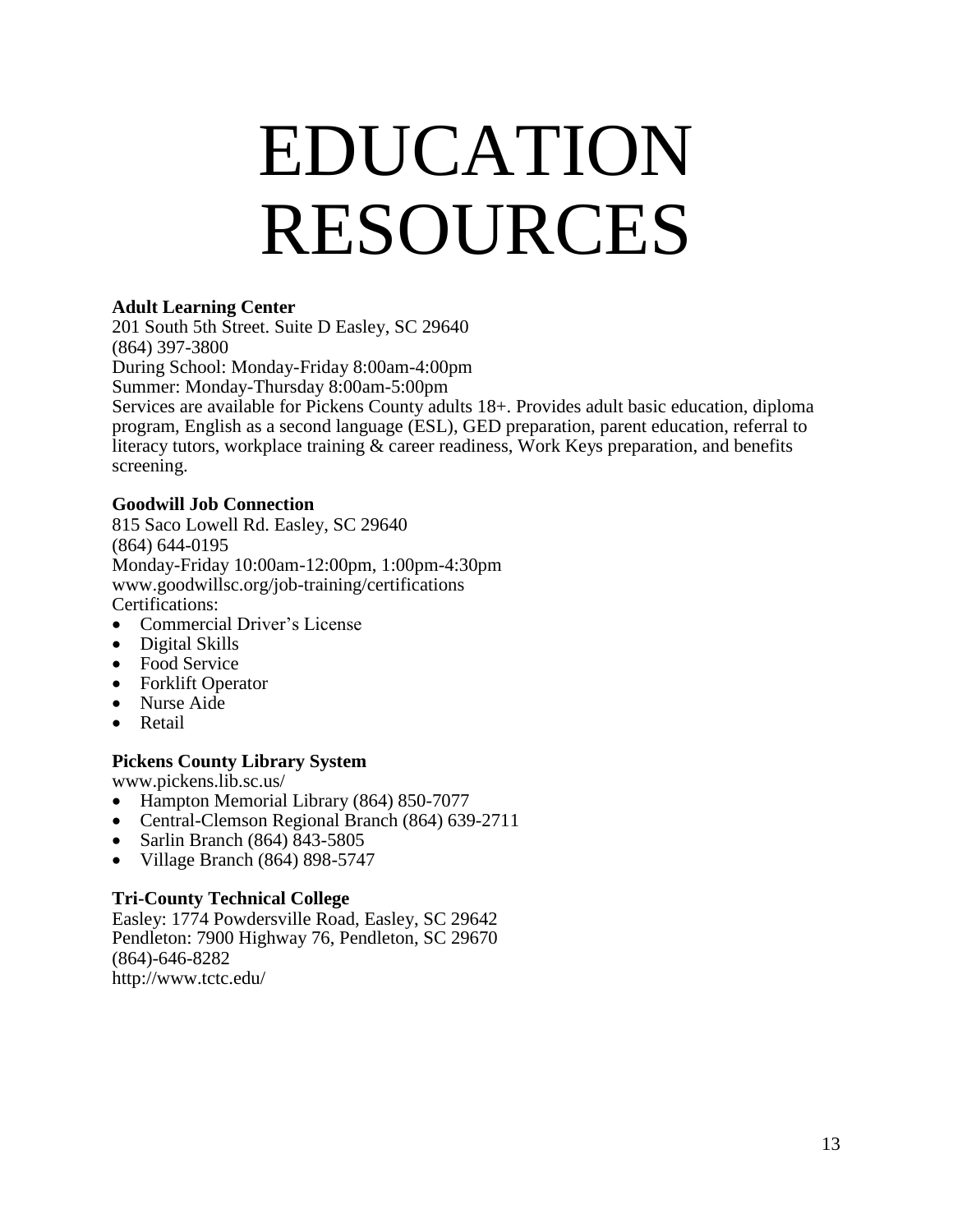### EDUCATION RESOURCES

#### **Adult Learning Center**

201 South 5th Street. Suite D Easley, SC 29640 (864) 397-3800 During School: Monday-Friday 8:00am-4:00pm Summer: Monday-Thursday 8:00am-5:00pm Services are available for Pickens County adults 18+. Provides adult basic education, diploma program, English as a second language (ESL), GED preparation, parent education, referral to literacy tutors, workplace training & career readiness, Work Keys preparation, and benefits screening.

#### **Goodwill Job Connection**

815 Saco Lowell Rd. Easley, SC 29640 (864) 644-0195 Monday-Friday 10:00am-12:00pm, 1:00pm-4:30pm [www.goodwillsc.org/job-training/certifications](http://www.goodwillsc.org/job-training/certifications) Certifications:

- [Commercial](http://www.goodwillsc.org/certifications/construction) Driver's License
- [Digital](http://www.goodwillsc.org/cleaning-management-institute) Skills
- Food [Service](http://www.goodwillsc.org/job-training/certifications/food-service)
- [Forklift Operator](http://www.goodwillsc.org/job-training/certifications/forklift-safety)
- [Nurse](http://www.goodwillsc.org/job-training/certifications/nurse-aide) Aide
- [Retail](http://www.goodwillsc.org/job-training/certifications/retail)

#### **Pickens County Library System**

[www.pickens.lib.sc.us/](http://www.pickens.lib.sc.us/)

- Hampton Memorial Library (864) 850-7077
- Central-Clemson Regional Branch (864) 639-2711
- Sarlin Branch (864) 843-5805
- $\bullet$  Village Branch (864) 898-5747

#### **Tri-County Technical College**

Easley: 1774 Powdersville Road, Easley, SC 29642 Pendleton: 7900 Highway 76, Pendleton, SC 29670 (864)-646-8282 <http://www.tctc.edu/>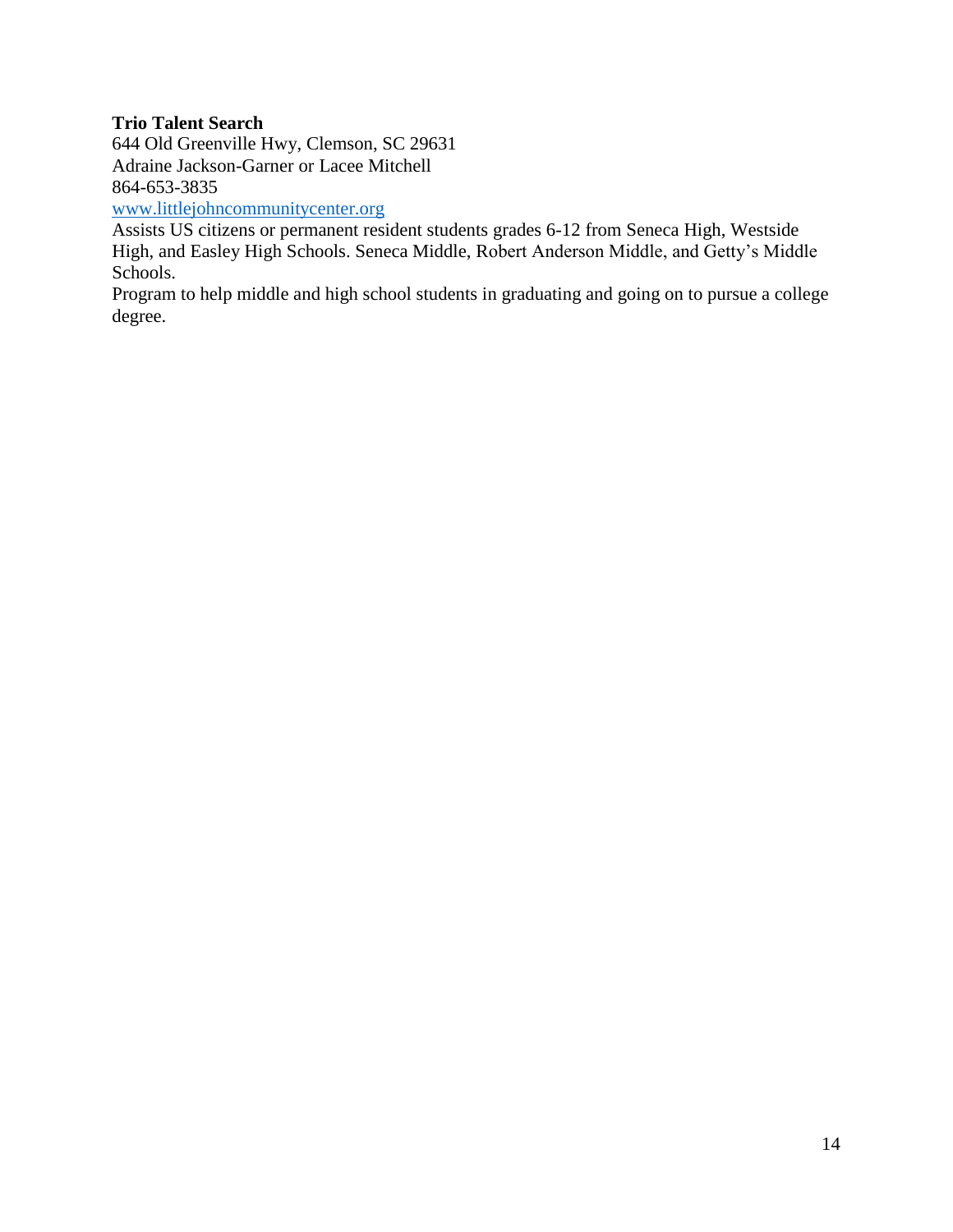#### **Trio Talent Search**

644 Old Greenville Hwy, Clemson, SC 29631 Adraine Jackson-Garner or Lacee Mitchell 864-653-3835

[www.littlejohncommunitycenter.org](http://www.littlejohncommunitycenter.org/)

Assists US citizens or permanent resident students grades 6-12 from Seneca High, Westside High, and Easley High Schools. Seneca Middle, Robert Anderson Middle, and Getty's Middle Schools.

Program to help middle and high school students in graduating and going on to pursue a college degree.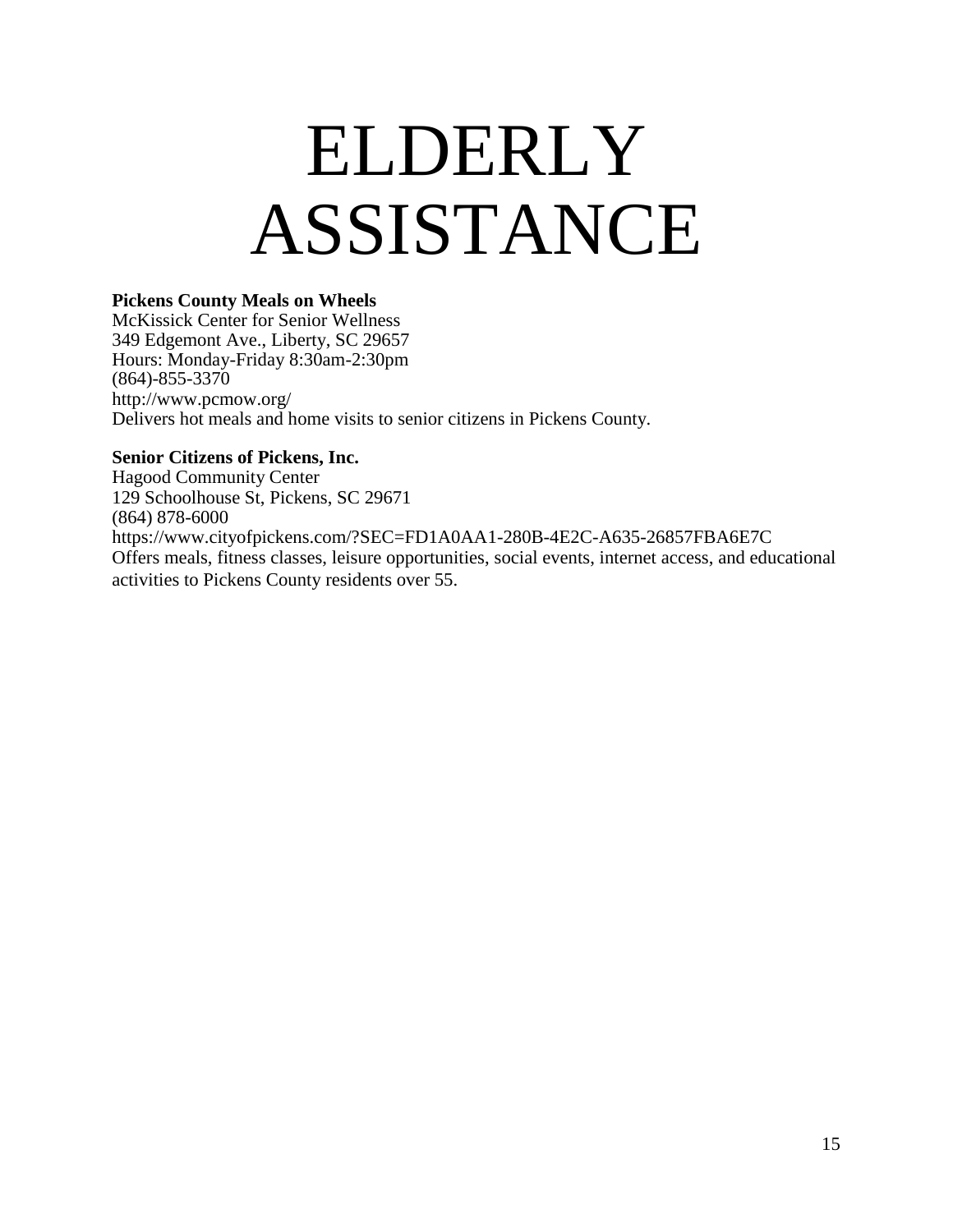### ELDERLY ASSISTANCE

#### **Pickens County Meals on Wheels**

McKissick Center for Senior Wellness 349 Edgemont Ave., Liberty, SC 29657 Hours: Monday-Friday 8:30am-2:30pm (864)-855-3370 <http://www.pcmow.org/> Delivers hot meals and home visits to senior citizens in Pickens County.

#### **Senior Citizens of Pickens, Inc.**

Hagood Community Center 129 Schoolhouse St, Pickens, SC 29671 (864) 878-6000 <https://www.cityofpickens.com/?SEC=FD1A0AA1-280B-4E2C-A635-26857FBA6E7C> Offers meals, fitness classes, leisure opportunities, social events, internet access, and educational activities to Pickens County residents over 55.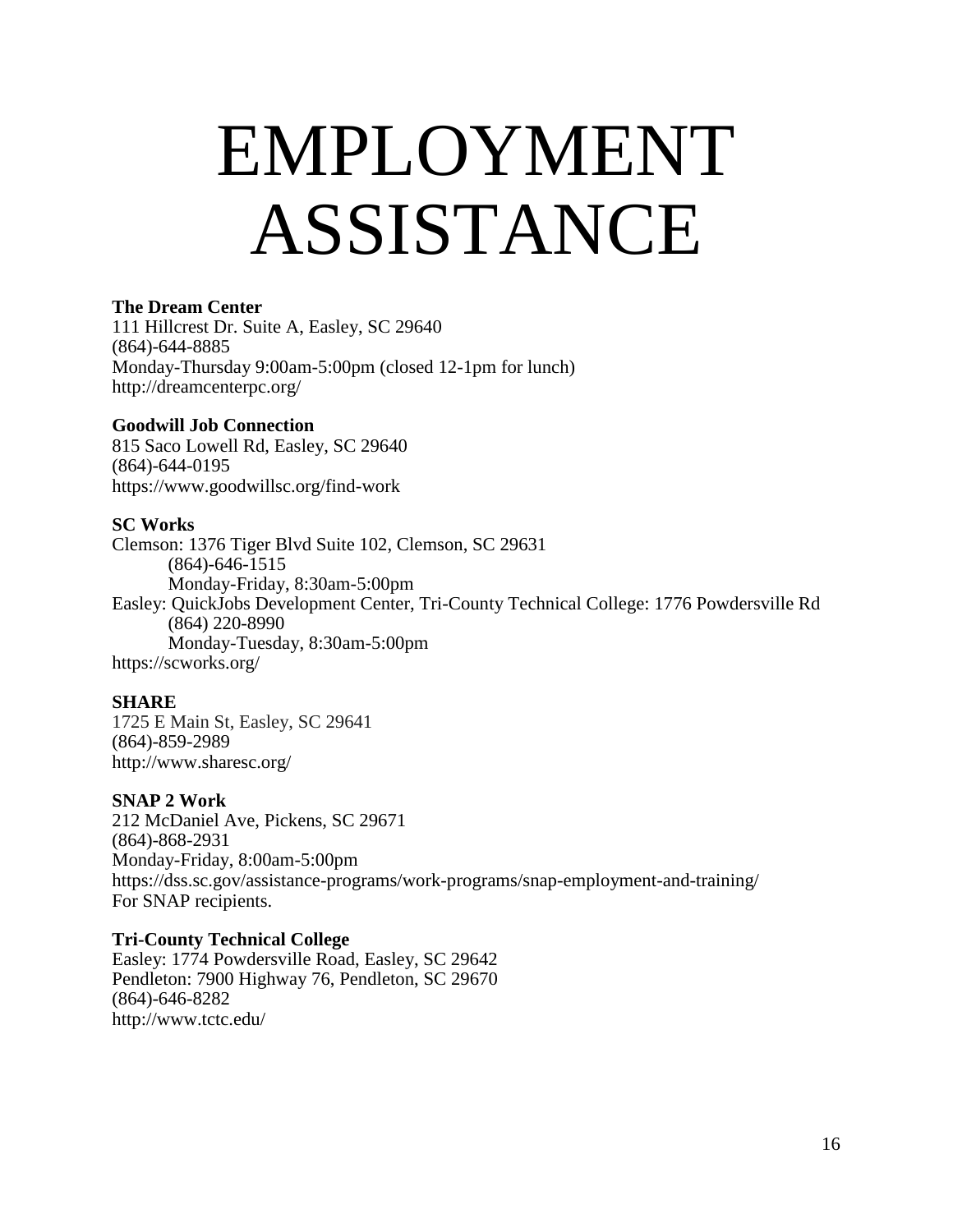### EMPLOYMENT ASSISTANCE

#### **The Dream Center**

111 Hillcrest Dr. Suite A, Easley, SC 29640 (864)-644-8885 Monday-Thursday 9:00am-5:00pm (closed 12-1pm for lunch) <http://dreamcenterpc.org/>

#### **Goodwill Job Connection**

815 Saco Lowell Rd, Easley, SC 29640 (864)-644-0195 https://www.goodwillsc.org/find-work

#### **SC Works**

Clemson: 1376 Tiger Blvd Suite 102, Clemson, SC 29631 (864)-646-1515 Monday-Friday, 8:30am-5:00pm Easley: QuickJobs Development Center, Tri-County Technical College: 1776 Powdersville Rd (864) 220-8990 Monday-Tuesday, 8:30am-5:00pm https://scworks.org/

#### **SHARE**

1725 E Main St, Easley, SC 29641 (864)-859-2989 <http://www.sharesc.org/>

#### **SNAP 2 Work**

212 McDaniel Ave, Pickens, SC 29671 (864)-868-2931 Monday-Friday, 8:00am-5:00pm <https://dss.sc.gov/assistance-programs/work-programs/snap-employment-and-training/> For SNAP recipients.

#### **Tri-County Technical College**

Easley: 1774 Powdersville Road, Easley, SC 29642 Pendleton: 7900 Highway 76, Pendleton, SC 29670 (864)-646-8282 <http://www.tctc.edu/>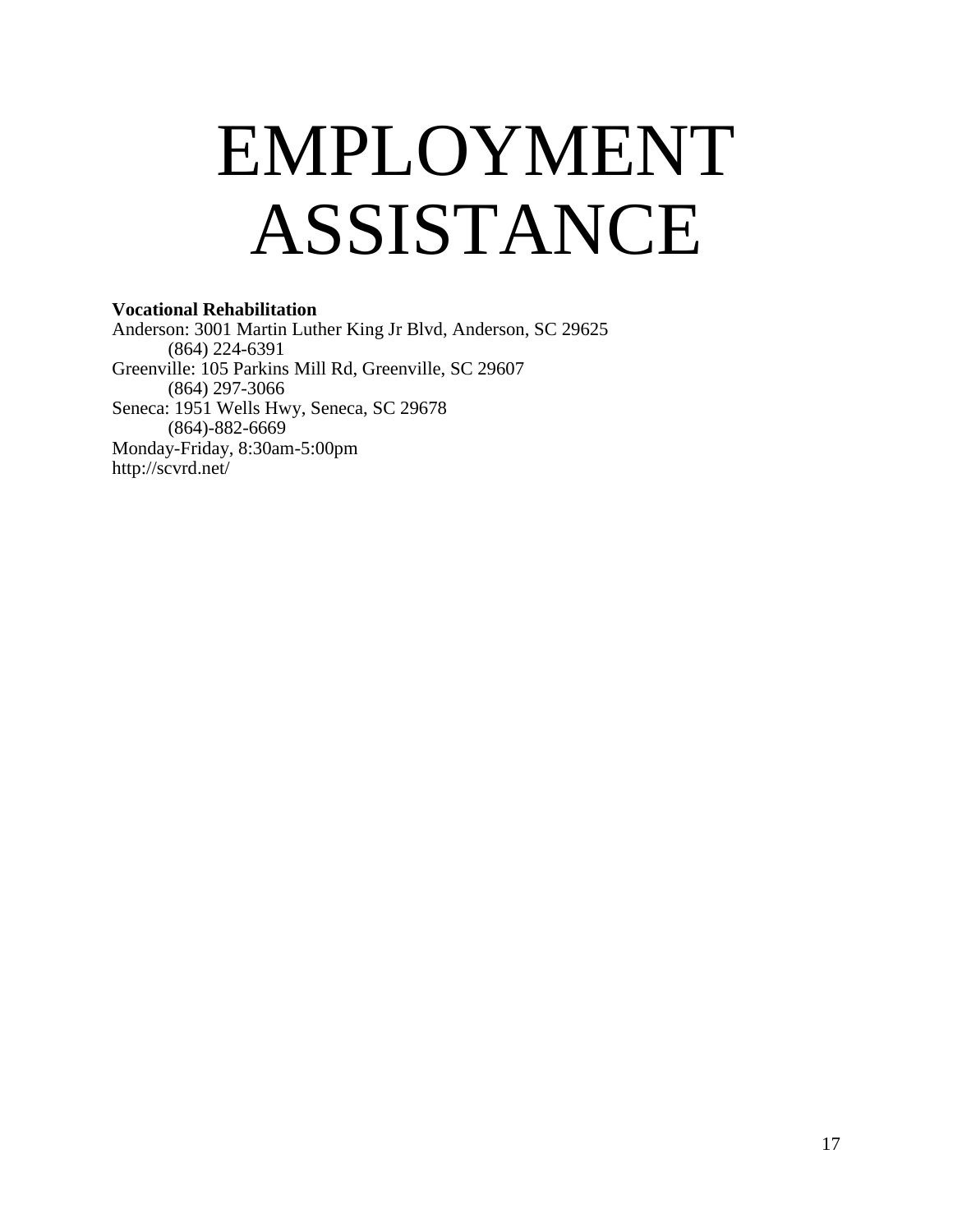### EMPLOYMENT ASSISTANCE

#### **Vocational Rehabilitation**

Anderson: 3001 Martin Luther King Jr Blvd, Anderson, SC 29625 (864) 224-6391 Greenville: 105 Parkins Mill Rd, Greenville, SC 29607 (864) 297-3066 Seneca: 1951 Wells Hwy, Seneca, SC 29678 (864)-882-6669 Monday-Friday, 8:30am-5:00pm <http://scvrd.net/>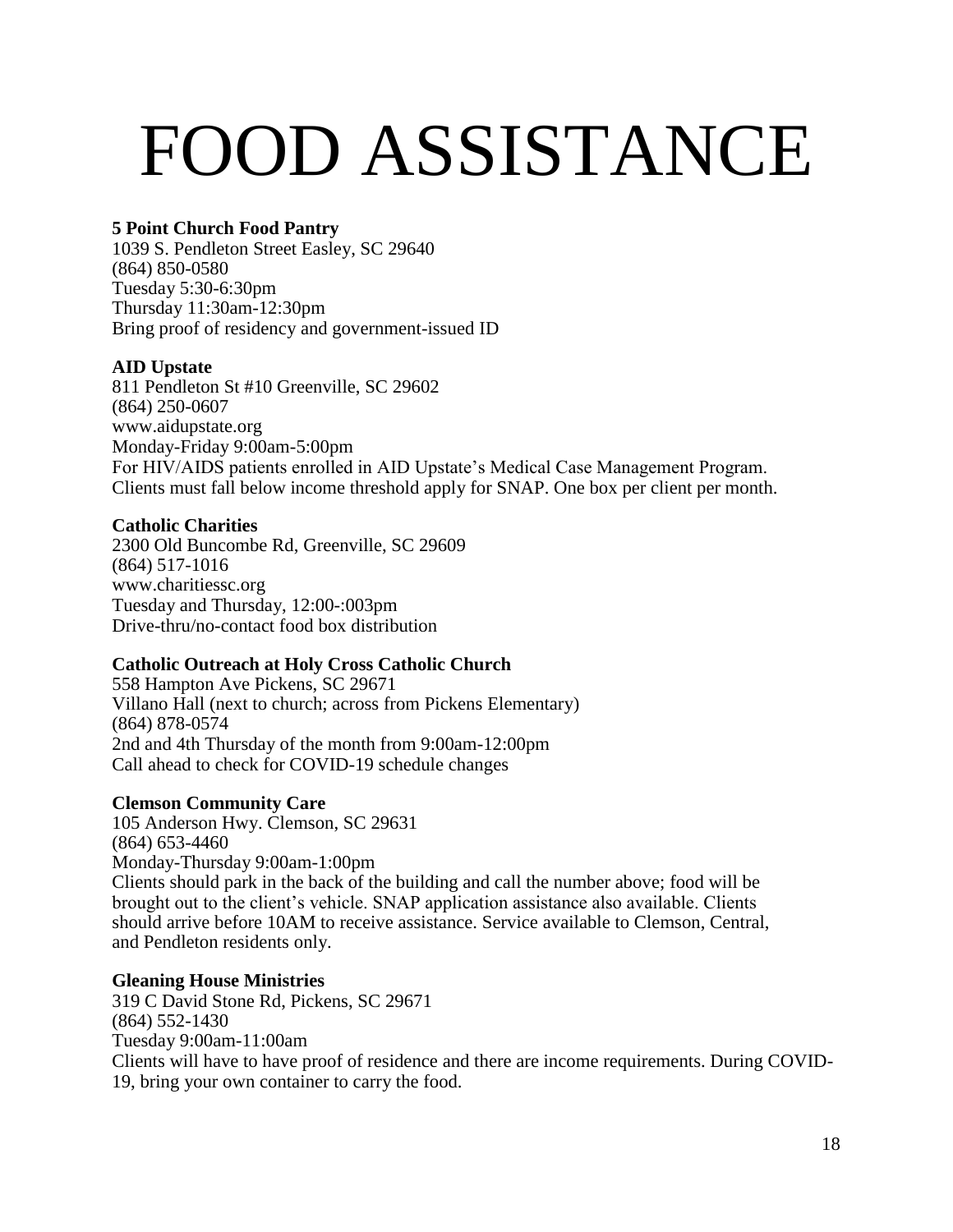# FOOD ASSISTANCE

#### **5 Point Church Food Pantry**

1039 S. Pendleton Street Easley, SC 29640 (864) 850-0580 Tuesday 5:30-6:30pm Thursday 11:30am-12:30pm Bring proof of residency and government-issued ID

#### **AID Upstate**

811 Pendleton St #10 Greenville, SC 29602 (864) 250-0607 [www.aidupstate.org](http://www.aidupstate.org/) Monday-Friday 9:00am-5:00pm For HIV/AIDS patients enrolled in AID Upstate's Medical Case Management Program. Clients must fall below income threshold apply for SNAP. One box per client per month.

#### **Catholic Charities**

2300 Old Buncombe Rd, Greenville, SC 29609 (864) 517-1016 www.charitiessc.org Tuesday and Thursday, 12:00-:003pm Drive-thru/no-contact food box distribution

#### **Catholic Outreach at Holy Cross Catholic Church**

558 Hampton Ave Pickens, SC 29671 Villano Hall (next to church; across from Pickens Elementary) (864) 878-0574 2nd and 4th Thursday of the month from 9:00am-12:00pm Call ahead to check for COVID-19 schedule changes

#### **Clemson Community Care**

105 Anderson Hwy. Clemson, SC 29631 (864) 653-4460 Monday-Thursday 9:00am-1:00pm Clients should park in the back of the building and call the number above; food will be brought out to the client's vehicle. SNAP application assistance also available. Clients should arrive before 10AM to receive assistance. Service available to Clemson, Central, and Pendleton residents only.

#### **Gleaning House Ministries**

319 C David Stone Rd, Pickens, SC 29671 (864) 552-1430 Tuesday 9:00am-11:00am Clients will have to have proof of residence and there are income requirements. During COVID-19, bring your own container to carry the food.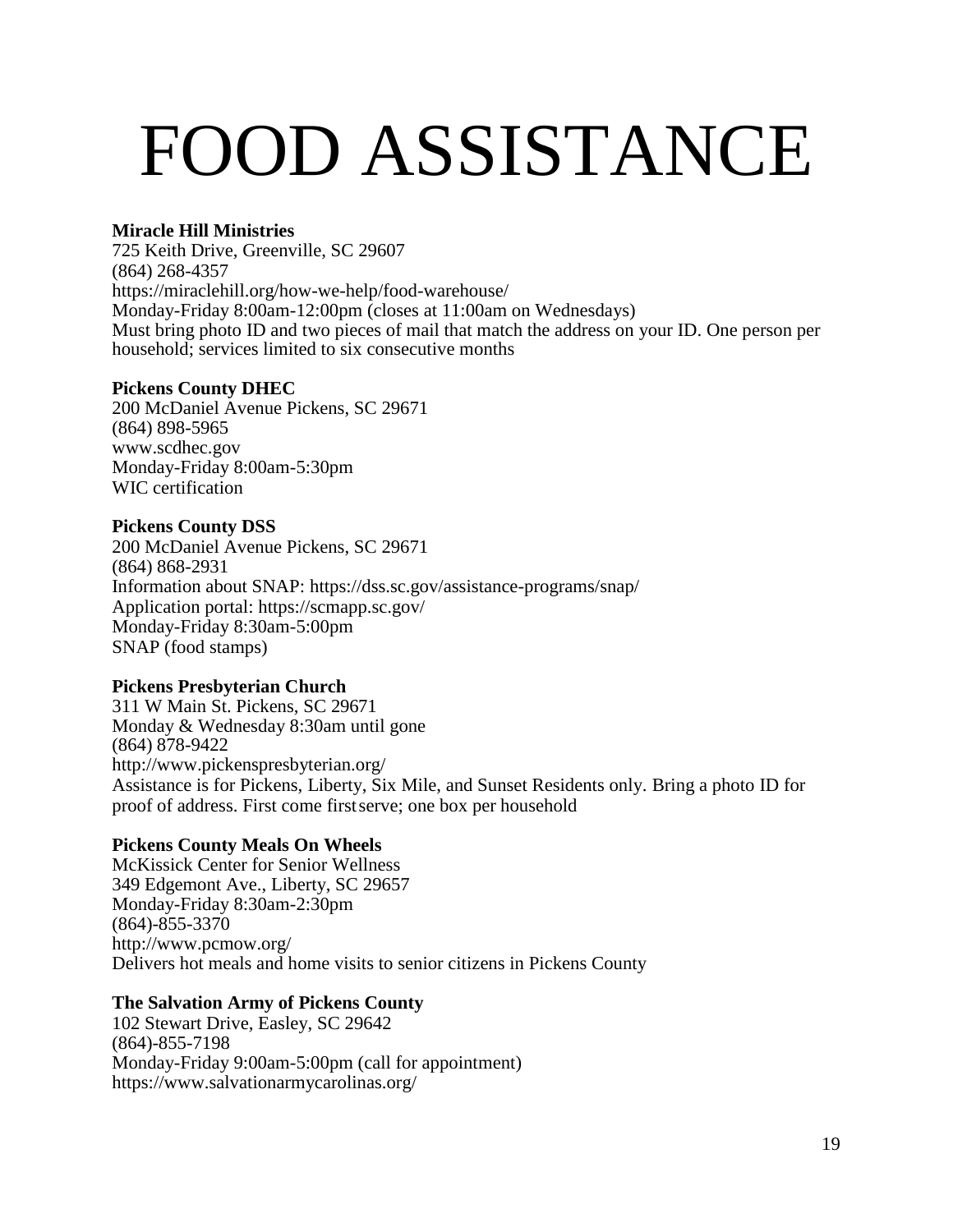# FOOD ASSISTANCE

#### **Miracle Hill Ministries**

725 Keith Drive, Greenville, SC 29607 (864) 268-4357 <https://miraclehill.org/how-we-help/food-warehouse/> Monday-Friday 8:00am-12:00pm (closes at 11:00am on Wednesdays) Must bring photo ID and two pieces of mail that match the address on your ID. One person per household; services limited to six consecutive months

#### **Pickens County DHEC**

200 McDaniel Avenue Pickens, SC 29671 (864) 898-5965 [www.scdhec.gov](http://www.scdhec.gov/) Monday-Friday 8:00am-5:30pm WIC certification

#### **Pickens County DSS**

200 McDaniel Avenue Pickens, SC 29671 (864) 868-2931 Information about SNAP:<https://dss.sc.gov/assistance-programs/snap/> Application portal:<https://scmapp.sc.gov/> Monday-Friday 8:30am-5:00pm SNAP (food stamps)

#### **Pickens Presbyterian Church**

311 W Main St. Pickens, SC 29671 Monday & Wednesday 8:30am until gone (864) 878-9422 <http://www.pickenspresbyterian.org/> Assistance is for Pickens, Liberty, Six Mile, and Sunset Residents only. Bring a photo ID for proof of address. First come firstserve; one box per household

#### **Pickens County Meals On Wheels**

McKissick Center for Senior Wellness 349 Edgemont Ave., Liberty, SC 29657 Monday-Friday 8:30am-2:30pm (864)-855-3370 <http://www.pcmow.org/> Delivers hot meals and home visits to senior citizens in Pickens County

#### **The Salvation Army of Pickens County**

102 Stewart Drive, Easley, SC 29642 (864)-855-7198 Monday-Friday 9:00am-5:00pm (call for appointment) <https://www.salvationarmycarolinas.org/>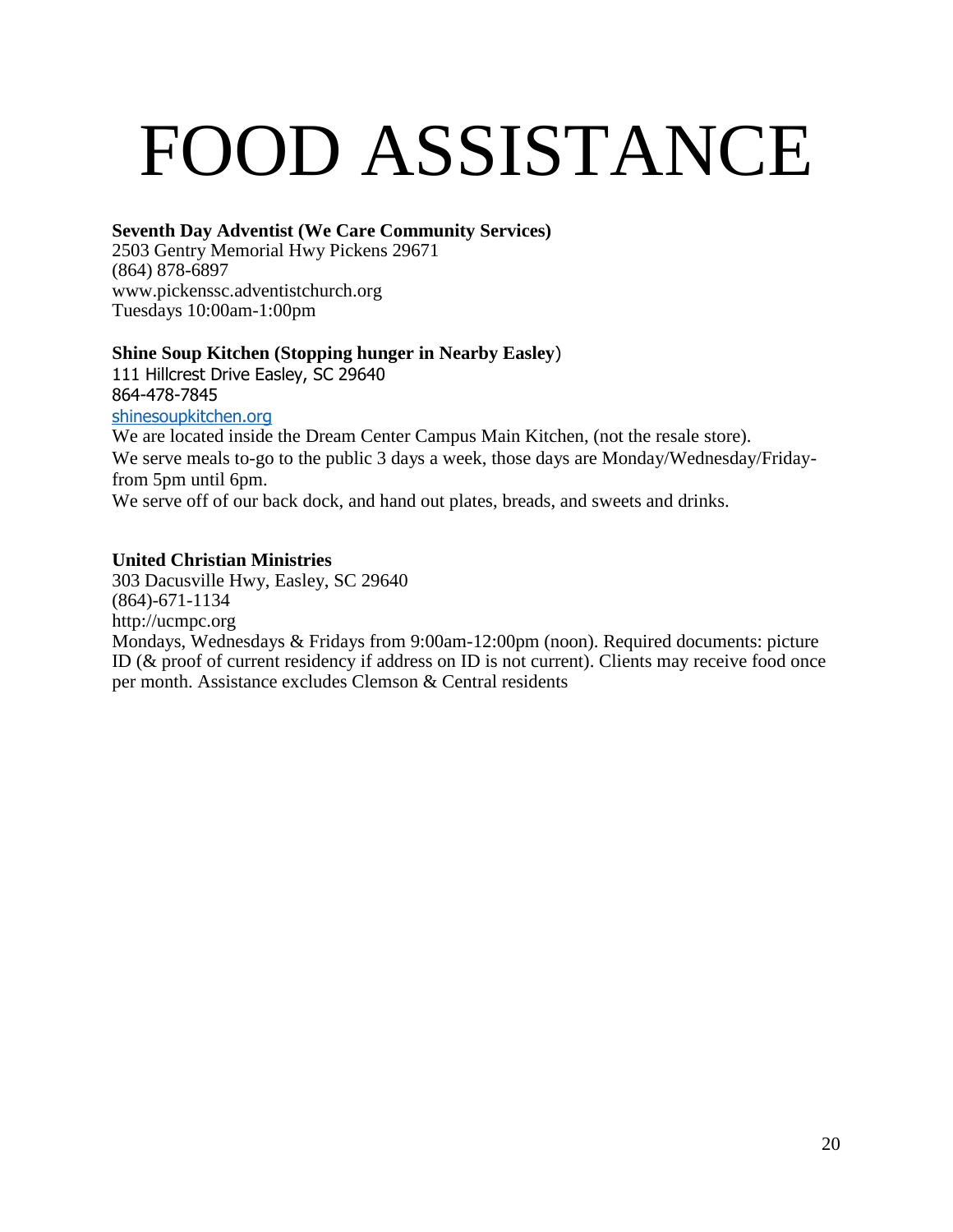## FOOD ASSISTANCE

#### **Seventh Day Adventist (We Care Community Services)**

2503 Gentry Memorial Hwy Pickens 29671 (864) 878-6897 [www.pickenssc.adventistchurch.org](http://www.pickenssc.adventistchurch.org/) Tuesdays 10:00am-1:00pm

#### **Shine Soup Kitchen (Stopping hunger in Nearby Easley**)

111 Hillcrest Drive Easley, SC 29640 864-478-7845 [shinesoupkitchen.org](http://shinesoupkitchen.org/)

We are located inside the Dream Center Campus Main Kitchen, (not the resale store). We serve meals to-go to the public 3 days a week, those days are Monday/Wednesday/Fridayfrom 5pm until 6pm.

We serve off of our back dock, and hand out plates, breads, and sweets and drinks.

#### **United Christian Ministries**

303 Dacusville Hwy, Easley, SC 29640 (864)-671-1134 [http://ucmpc.org](http://ucmpc.org/) Mondays, Wednesdays & Fridays from 9:00am-12:00pm (noon). Required documents: picture ID (& proof of current residency if address on ID is not current). Clients may receive food once per month. Assistance excludes Clemson & Central residents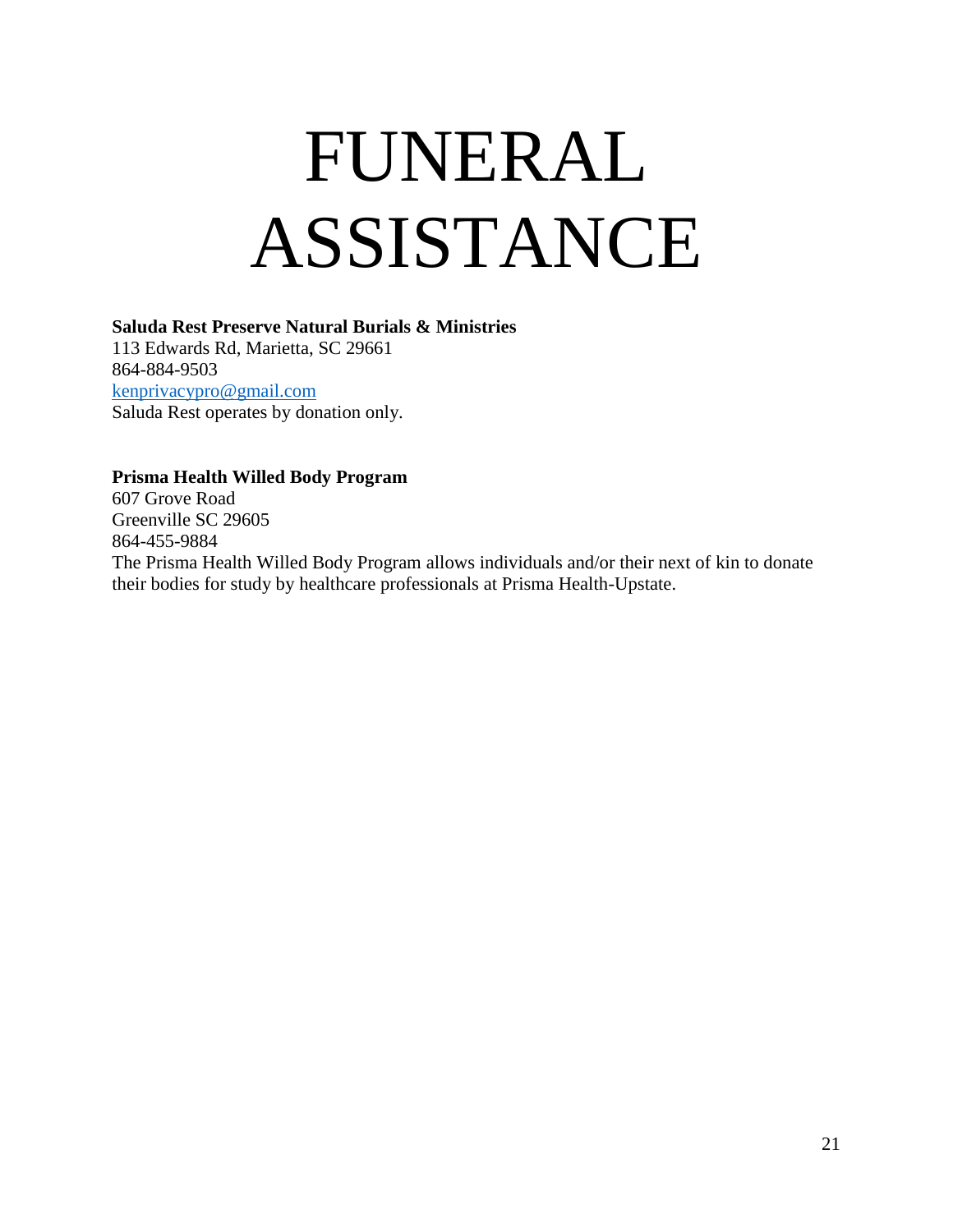# FUNERAL ASSISTANCE

#### **Saluda Rest Preserve Natural Burials & Ministries**

113 Edwards Rd, Marietta, SC 29661 864-884-9503 [kenprivacypro@gmail.com](mailto:kenprivacypro@gmail.com) Saluda Rest operates by donation only.

#### **Prisma Health Willed Body Program**

607 Grove Road Greenville SC 29605 864-455-9884 The Prisma Health Willed Body Program allows individuals and/or their next of kin to donate their bodies for study by healthcare professionals at Prisma Health-Upstate.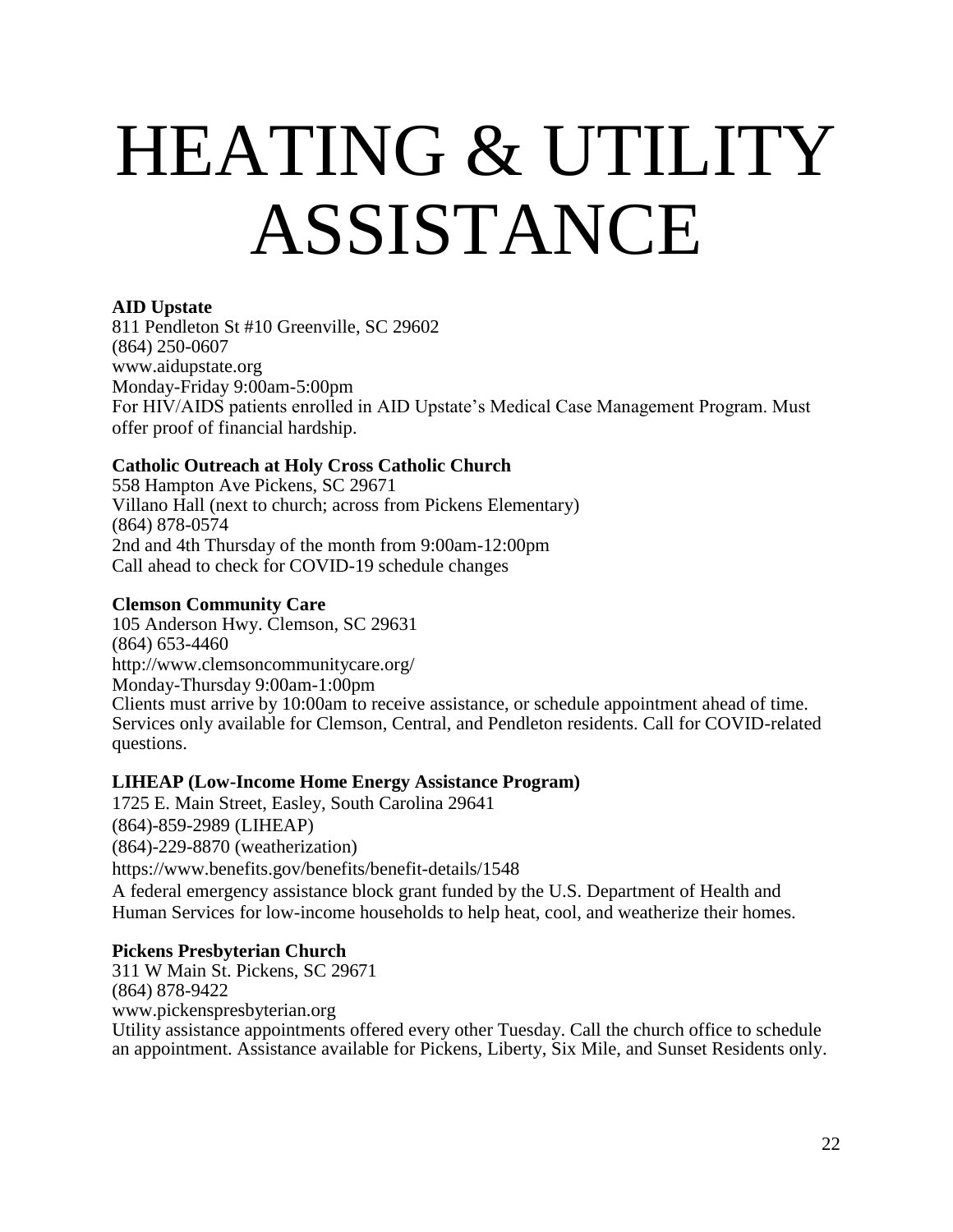## HEATING & UTILITY ASSISTANCE

#### **AID Upstate**

811 Pendleton St #10 Greenville, SC 29602 (864) 250-0607 [www.aidupstate.org](http://www.aidupstate.org/) Monday-Friday 9:00am-5:00pm For HIV/AIDS patients enrolled in AID Upstate's Medical Case Management Program. Must offer proof of financial hardship.

#### **Catholic Outreach at Holy Cross Catholic Church**

558 Hampton Ave Pickens, SC 29671 Villano Hall (next to church; across from Pickens Elementary) (864) 878-0574 2nd and 4th Thursday of the month from 9:00am-12:00pm Call ahead to check for COVID-19 schedule changes

#### **Clemson Community Care**

105 Anderson Hwy. Clemson, SC 29631 (864) 653-4460 <http://www.clemsoncommunitycare.org/> Monday-Thursday 9:00am-1:00pm Clients must arrive by 10:00am to receive assistance, or schedule appointment ahead of time. Services only available for Clemson, Central, and Pendleton residents. Call for COVID-related questions.

#### **LIHEAP (Low-Income Home Energy Assistance Program)**

1725 E. Main Street, Easley, South Carolina 29641 (864)-859-2989 (LIHEAP) (864)-229-8870 (weatherization) <https://www.benefits.gov/benefits/benefit-details/1548> A federal emergency assistance block grant funded by the U.S. Department of Health and Human Services for low-income households to help heat, cool, and weatherize their homes.

#### **Pickens Presbyterian Church**

311 W Main St. Pickens, SC 29671 (864) 878-9422 [www.pickenspresbyterian.org](http://www.pickenspresbyterian.org/) Utility assistance appointments offered every other Tuesday. Call the church office to schedule an appointment. Assistance available for Pickens, Liberty, Six Mile, and Sunset Residents only.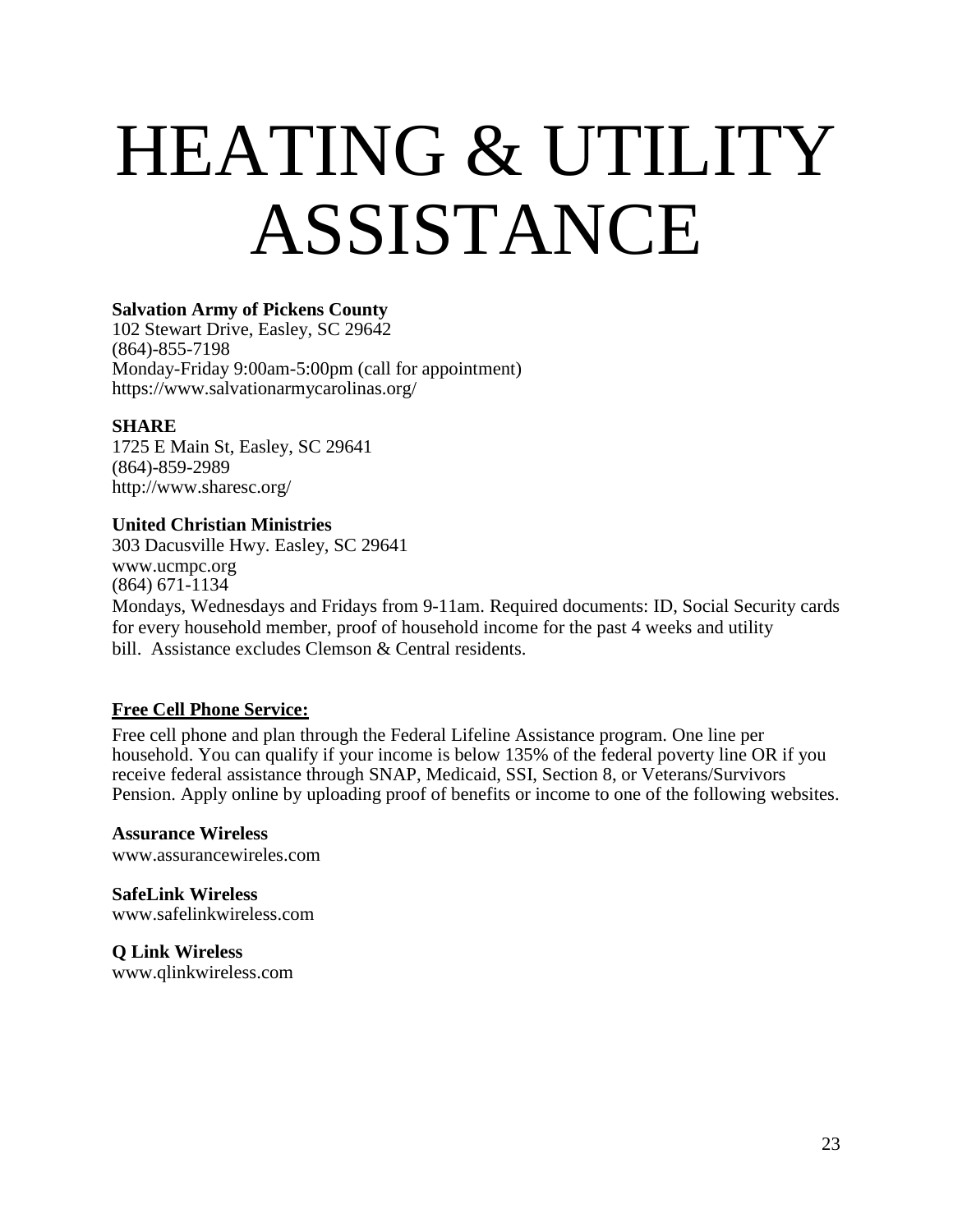### HEATING & UTILITY ASSISTANCE

#### **Salvation Army of Pickens County**

102 Stewart Drive, Easley, SC 29642 (864)-855-7198 Monday-Friday 9:00am-5:00pm (call for appointment) <https://www.salvationarmycarolinas.org/>

#### **SHARE**

1725 E Main St, Easley, SC 29641 (864)-859-2989 <http://www.sharesc.org/>

#### **United Christian Ministries**

303 Dacusville Hwy. Easley, SC 29641 [www.ucmpc.org](http://www.ucmpc.org/) (864) 671-1134 Mondays, Wednesdays and Fridays from 9-11am. Required documents: ID, Social Security cards for every household member, proof of household income for the past 4 weeks and utility bill. Assistance excludes Clemson & Central residents.

#### **Free Cell Phone Service:**

Free cell phone and plan through the Federal Lifeline Assistance program. One line per household. You can qualify if your income is below 135% of the federal poverty line OR if you receive federal assistance through SNAP, Medicaid, SSI, Section 8, or Veterans/Survivors Pension. Apply online by uploading proof of benefits or income to one of the following websites.

**Assurance Wireless** [www.assurancewireles.com](http://www.assurancewireles.com/)

**SafeLink Wireless** [www.safelinkwireless.com](http://www.safelinkwireless.com/)

**Q Link Wireless** [www.qlinkwireless.com](http://www.qlinkwireless.com/)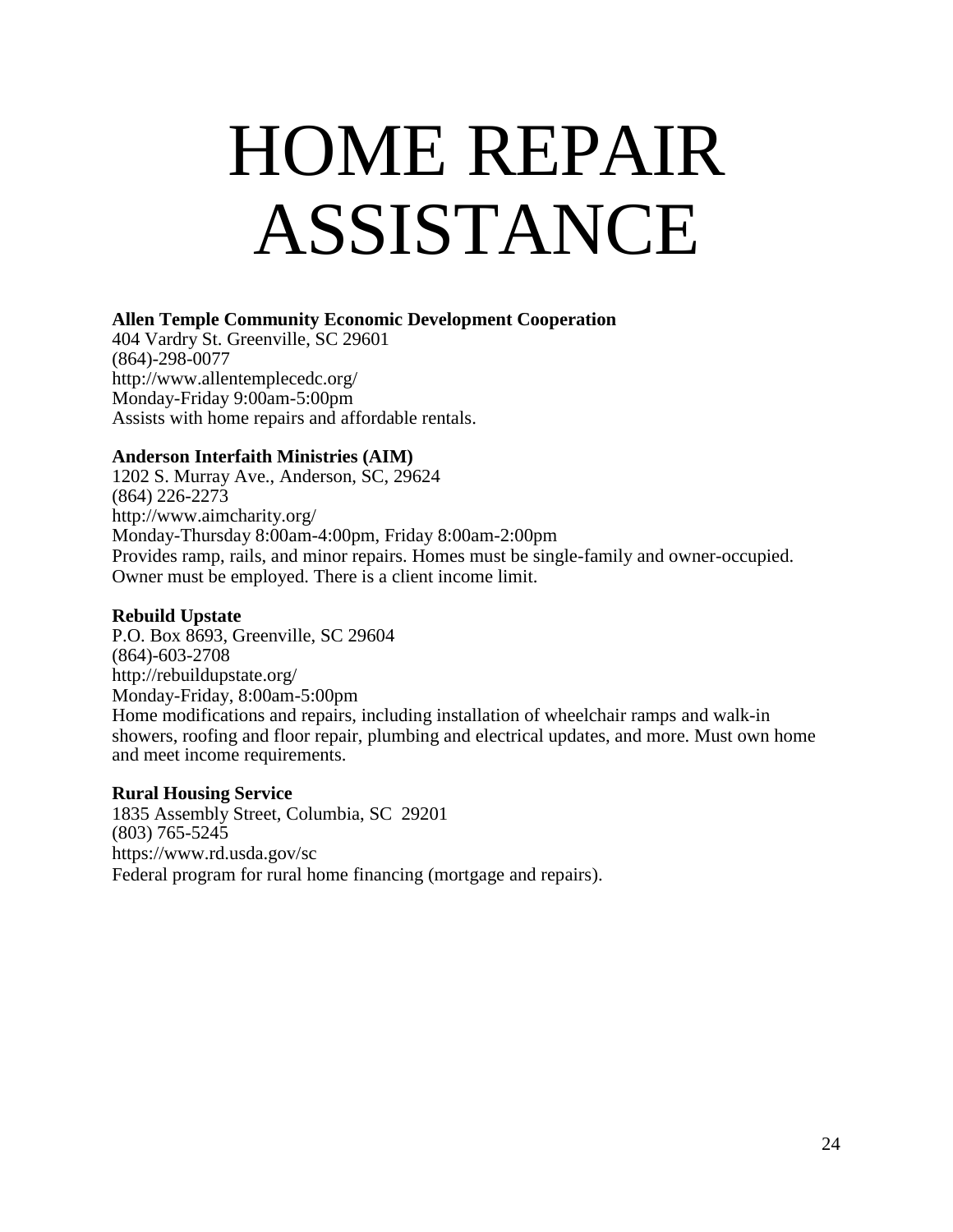### <span id="page-23-0"></span>HOME REPAIR ASSISTANCE

#### **Allen Temple Community Economic Development Cooperation**

404 Vardry St. Greenville, SC 29601 (864)-298-0077 <http://www.allentemplecedc.org/> Monday-Friday 9:00am-5:00pm Assists with home repairs and affordable rentals.

#### **Anderson Interfaith Ministries (AIM)**

1202 S. Murray Ave., Anderson, SC, 29624 (864) 226-2273 <http://www.aimcharity.org/> Monday-Thursday 8:00am-4:00pm, Friday 8:00am-2:00pm Provides ramp, rails, and minor repairs. Homes must be single-family and owner-occupied. Owner must be employed. There is a client income limit.

#### **Rebuild Upstate**

P.O. Box 8693, Greenville, SC 29604 (864)-603-2708 <http://rebuildupstate.org/> Monday-Friday, 8:00am-5:00pm Home modifications and repairs, including installation of wheelchair ramps and walk-in showers, roofing and floor repair, plumbing and electrical updates, and more. Must own home and meet income requirements.

#### **Rural Housing Service**

1835 Assembly Street, Columbia, SC 29201 (803) 765-5245 <https://www.rd.usda.gov/sc> Federal program for rural home financing (mortgage and repairs).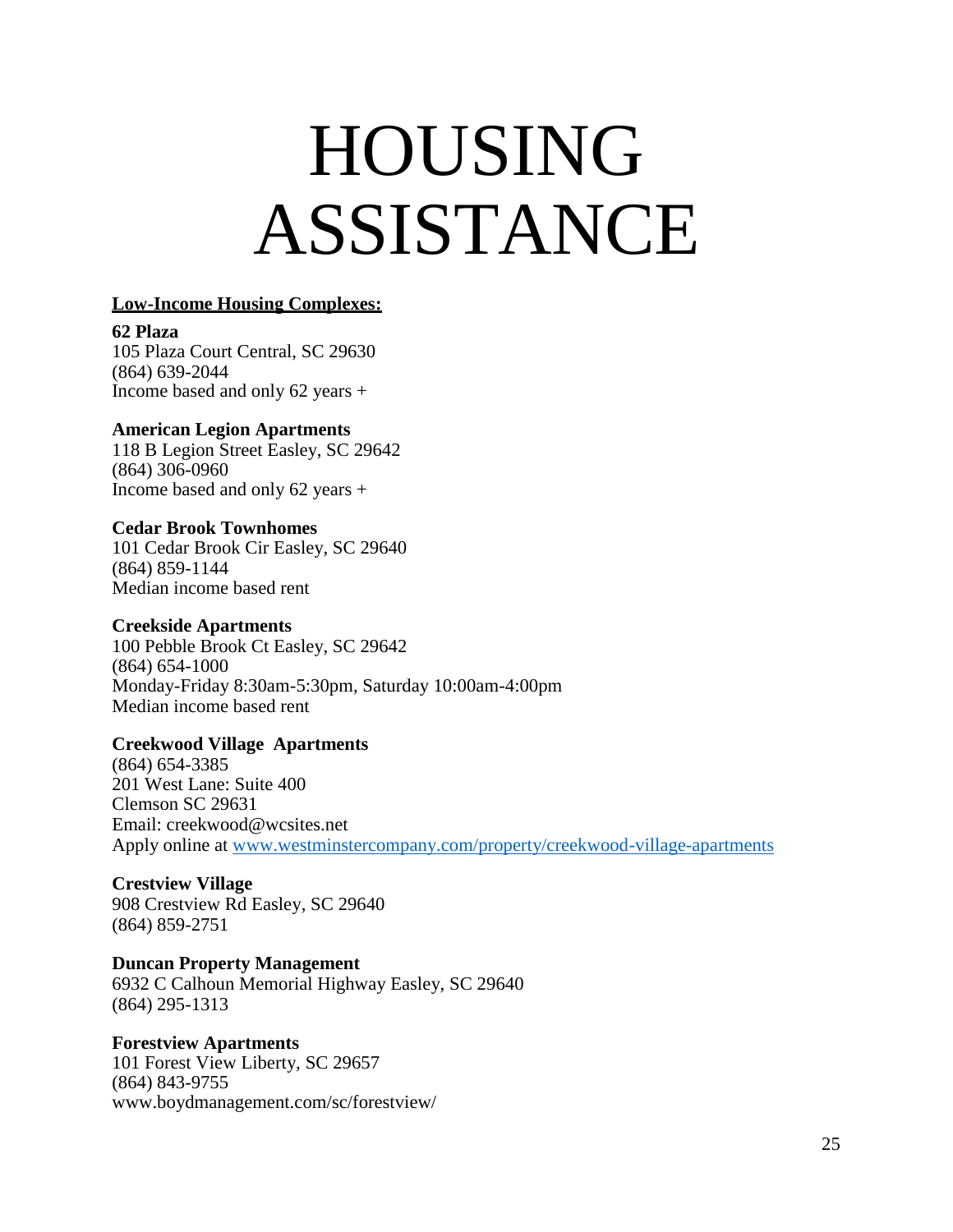### HOUSING ASSISTANCE

#### **Low-Income Housing Complexes:**

**62 Plaza** 105 Plaza Court Central, SC 29630 (864) 639-2044 Income based and only 62 years +

#### **American Legion Apartments**

118 B Legion Street Easley, SC 29642 (864) 306-0960 Income based and only 62 years +

#### **Cedar Brook Townhomes**

101 Cedar Brook Cir Easley, SC 29640 (864) 859-1144 Median income based rent

#### **Creekside Apartments**

100 Pebble Brook Ct Easley, SC 29642 (864) 654-1000 Monday-Friday 8:30am-5:30pm, Saturday 10:00am-4:00pm Median income based rent

#### **Creekwood Village Apartments**

(864) 654-3385 201 West Lane: Suite 400 Clemson SC 29631 Em[ail: creekwood@wcsites.net](mailto:creekwood@wcsites.net) Apply online at [www.westminstercompany.com/property/creekwood-village-apartments](http://www.westminstercompany.com/property/creekwood-village-apartments)

#### **Crestview Village**

908 Crestview Rd Easley, SC 29640 (864) 859-2751

#### **Duncan Property Management**

6932 C Calhoun Memorial Highway Easley, SC 29640 (864) 295-1313

#### **Forestview Apartments**

101 Forest View Liberty, SC 29657 (864) 843-9755 [www.boydmanagement.com/sc/forestview/](http://www.boydmanagement.com/sc/forestview/)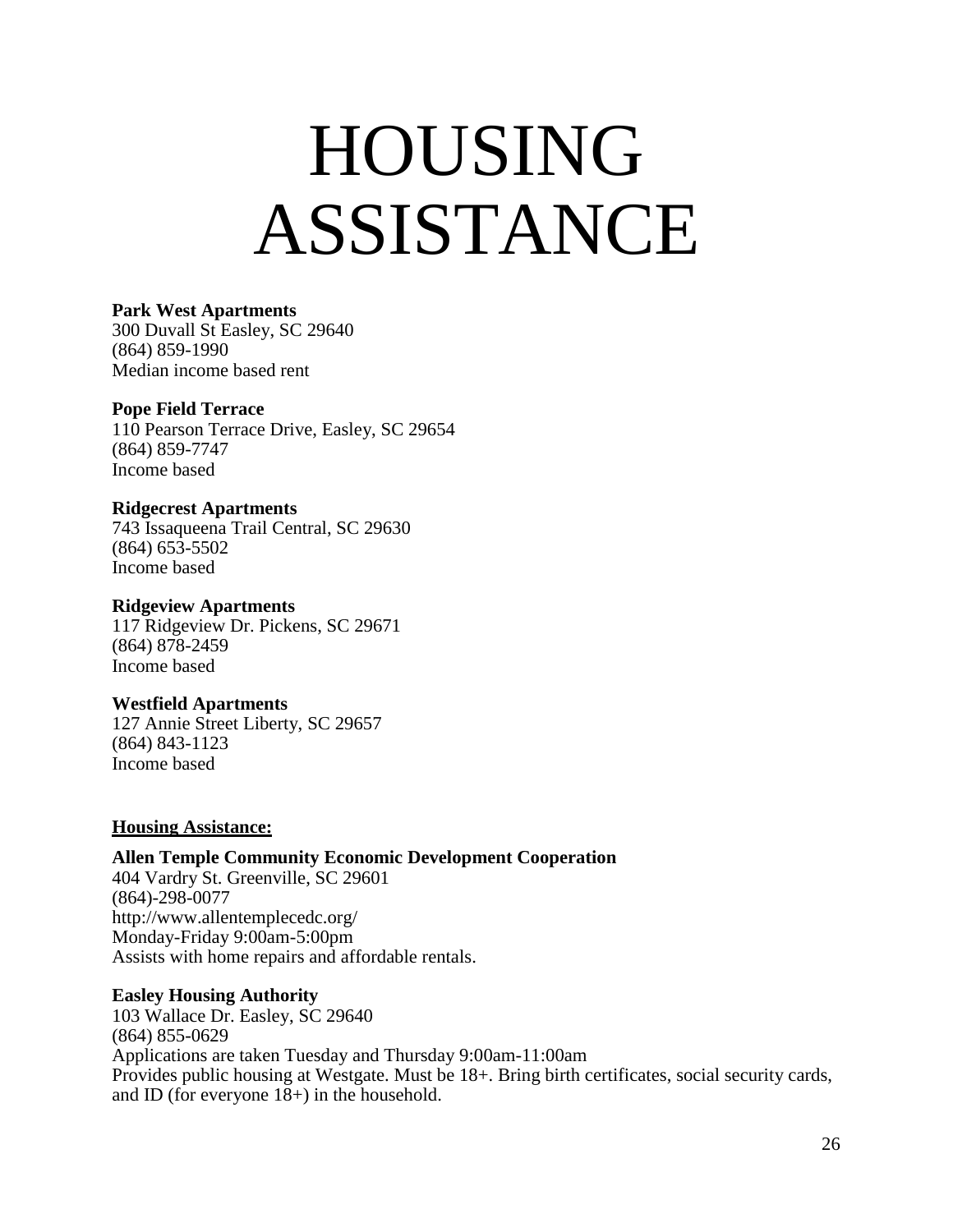### HOUSING ASSISTANCE

#### **Park West Apartments**

300 Duvall St Easley, SC 29640 (864) 859-1990 Median income based rent

#### **Pope Field Terrace**

110 Pearson Terrace Drive, Easley, SC 29654 (864) 859-7747 Income based

#### **Ridgecrest Apartments**

743 Issaqueena Trail Central, SC 29630 (864) 653-5502 Income based

#### **Ridgeview Apartments**

117 Ridgeview Dr. Pickens, SC 29671 (864) 878-2459 Income based

#### **Westfield Apartments**

127 Annie Street Liberty, SC 29657 (864) 843-1123 Income based

#### **Housing Assistance:**

#### **Allen Temple Community Economic Development Cooperation**

404 Vardry St. Greenville, SC 29601 (864)-298-0077 <http://www.allentemplecedc.org/> Monday-Friday 9:00am-5:00pm Assists with home repairs and affordable rentals.

#### **Easley Housing Authority**

103 Wallace Dr. Easley, SC 29640 (864) 855-0629 Applications are taken Tuesday and Thursday 9:00am-11:00am Provides public housing at Westgate. Must be 18+. Bring birth certificates, social security cards, and ID (for everyone 18+) in the household.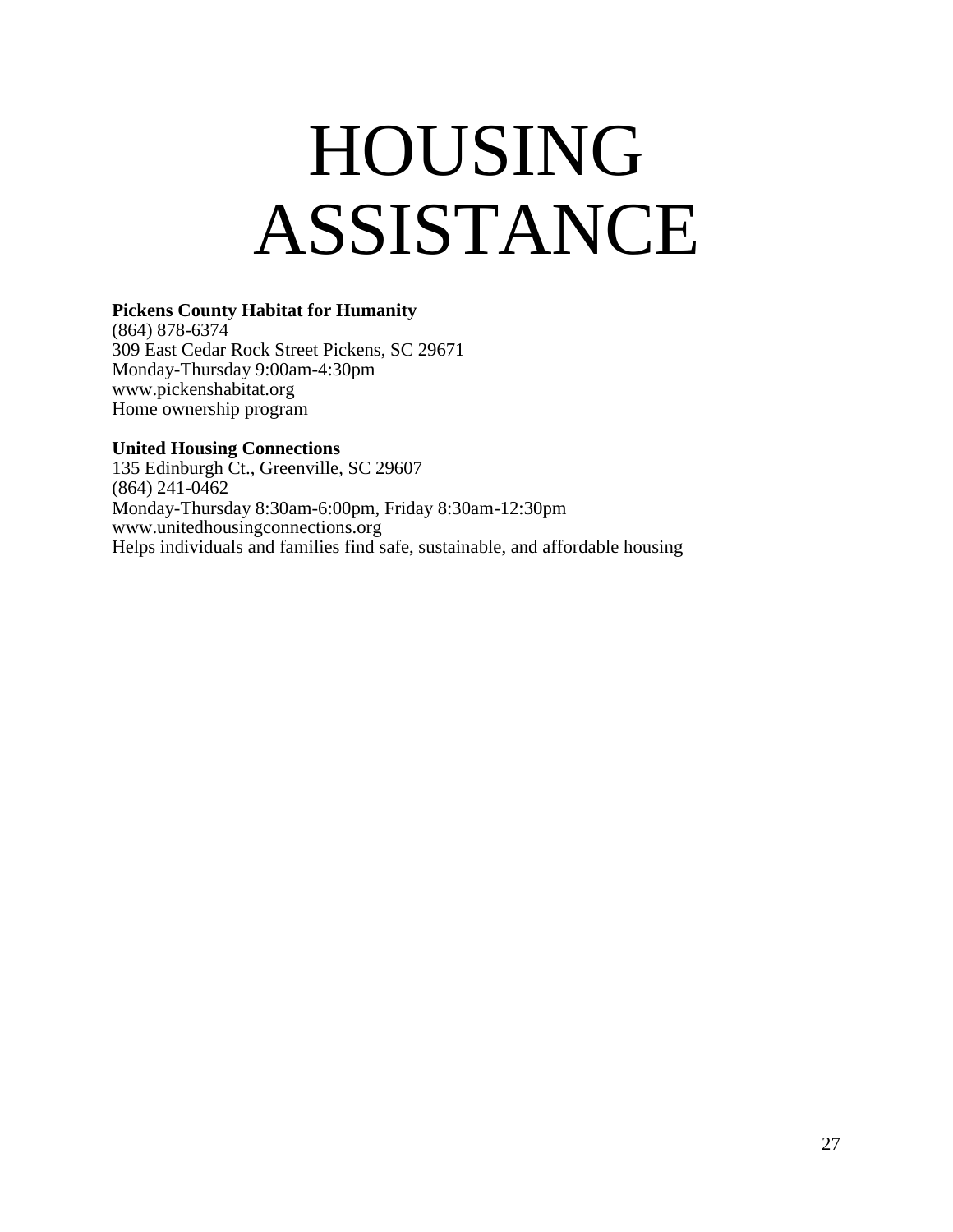### HOUSING ASSISTANCE

#### **Pickens County Habitat for Humanity**

(864) 878-6374 309 East Cedar Rock Street Pickens, SC 29671 Monday-Thursday 9:00am-4:30pm [www.pickenshabitat.org](http://www.pickenshabitat.org/) Home ownership program

#### **United Housing Connections**

135 Edinburgh Ct., Greenville, SC 29607 (864) 241-0462 Monday-Thursday 8:30am-6:00pm, Friday 8:30am-12:30pm [www.unitedhousingconnections.org](http://www.unitedhousingconnections.org/) Helps individuals and families find safe, sustainable, and affordable housing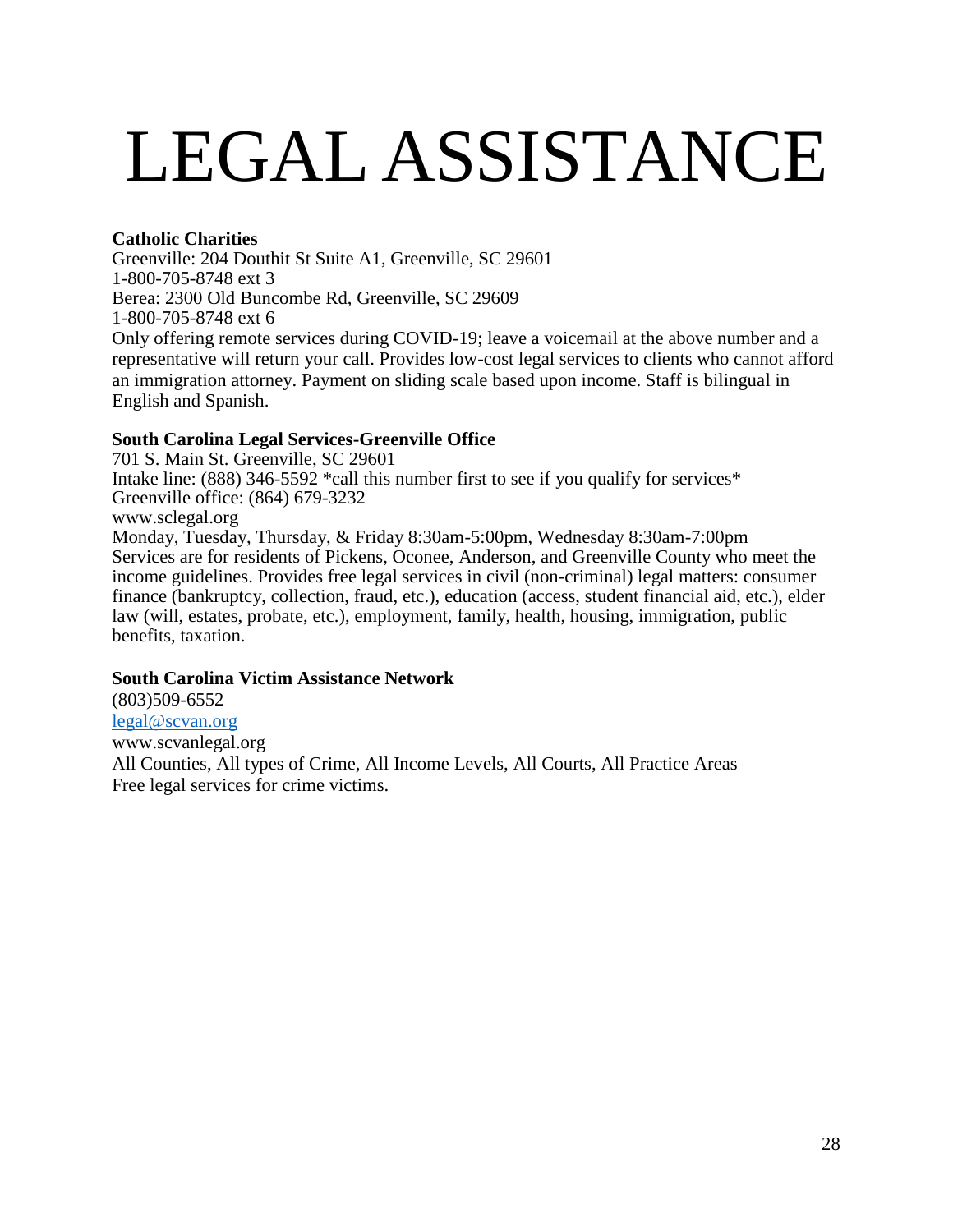# <span id="page-27-0"></span>LEGAL ASSISTANCE

#### **Catholic Charities**

Greenville: 204 Douthit St Suite A1, Greenville, SC 29601 1-800-705-8748 ext 3 Berea: 2300 Old Buncombe Rd, Greenville, SC 29609 1-800-705-8748 ext 6 Only offering remote services during COVID-19; leave a voicemail at the above number and a representative will return your call. Provides low-cost legal services to clients who cannot afford an immigration attorney. Payment on sliding scale based upon income. Staff is bilingual in English and Spanish.

#### **South Carolina Legal Services-Greenville Office**

701 S. Main St. Greenville, SC 29601 Intake line: (888) 346-5592 \*call this number first to see if you qualify for services\* Greenville office: (864) 679-3232 [www.sclegal.org](http://www.sclegal.org/) Monday, Tuesday, Thursday, & Friday 8:30am-5:00pm, Wednesday 8:30am-7:00pm Services are for residents of Pickens, Oconee, Anderson, and Greenville County who meet the income guidelines. Provides free legal services in civil (non-criminal) legal matters: consumer finance (bankruptcy, collection, fraud, etc.), education (access, student financial aid, etc.), elder law (will, estates, probate, etc.), employment, family, health, housing, immigration, public benefits, taxation.

#### **South Carolina Victim Assistance Network**

(803)509-6552 [legal@scvan.org](mailto:legal@scvan.org) www.scvanlegal.org All Counties, All types of Crime, All Income Levels, All Courts, All Practice Areas Free legal services for crime victims.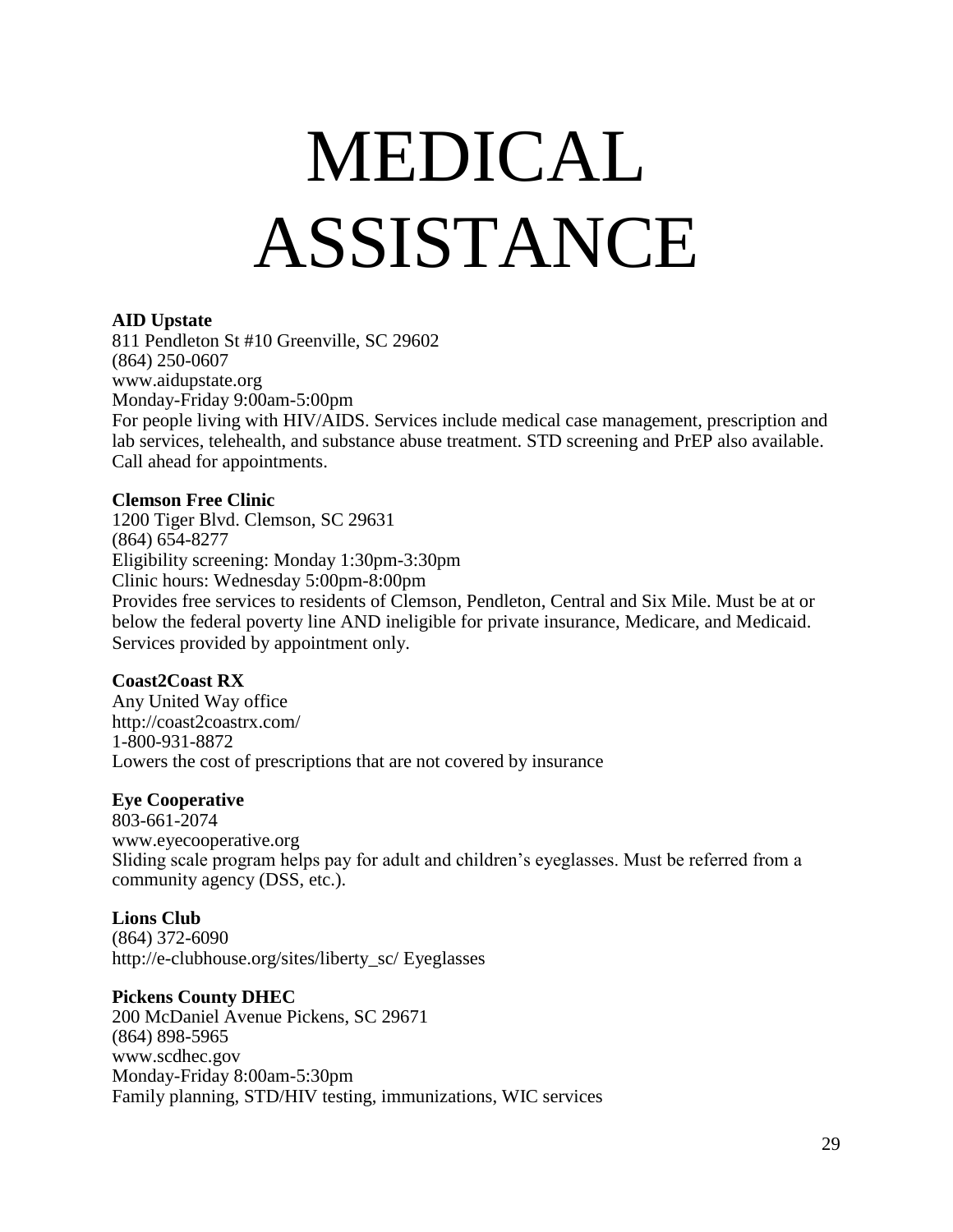# MEDICAL ASSISTANCE

#### **AID Upstate**

811 Pendleton St #10 Greenville, SC 29602 (864) 250-0607 [www.aidupstate.org](http://www.aidupstate.org/) Monday-Friday 9:00am-5:00pm For people living with HIV/AIDS. Services include medical case management, prescription and lab services, telehealth, and substance abuse treatment. STD screening and PrEP also available. Call ahead for appointments.

#### **Clemson Free Clinic**

1200 Tiger Blvd. Clemson, SC 29631 (864) 654-8277 Eligibility screening: Monday 1:30pm-3:30pm Clinic hours: Wednesday 5:00pm-8:00pm Provides free services to residents of Clemson, Pendleton, Central and Six Mile. Must be at or below the federal poverty line AND ineligible for private insurance, Medicare, and Medicaid. Services provided by appointment only.

#### **Coast2Coast RX**

Any United Way office <http://coast2coastrx.com/> 1-800-931-8872 Lowers the cost of prescriptions that are not covered by insurance

#### **Eye Cooperative**

803-661-2074 [www.eyecooperative.org](http://www.eyecooperative.org/) Sliding scale program helps pay for adult and children's eyeglasses. Must be referred from a community agency (DSS, etc.).

#### **Lions Club**

(864) 372-6090 [http://e-clubhouse.org/sites/liberty\\_sc/](http://e-clubhouse.org/sites/liberty_sc/) Eyeglasses

#### **Pickens County DHEC**

200 McDaniel Avenue Pickens, SC 29671 (864) 898-5965 [www.scdhec.gov](http://www.scdhec.gov/) Monday-Friday 8:00am-5:30pm Family planning, STD/HIV testing, immunizations, WIC services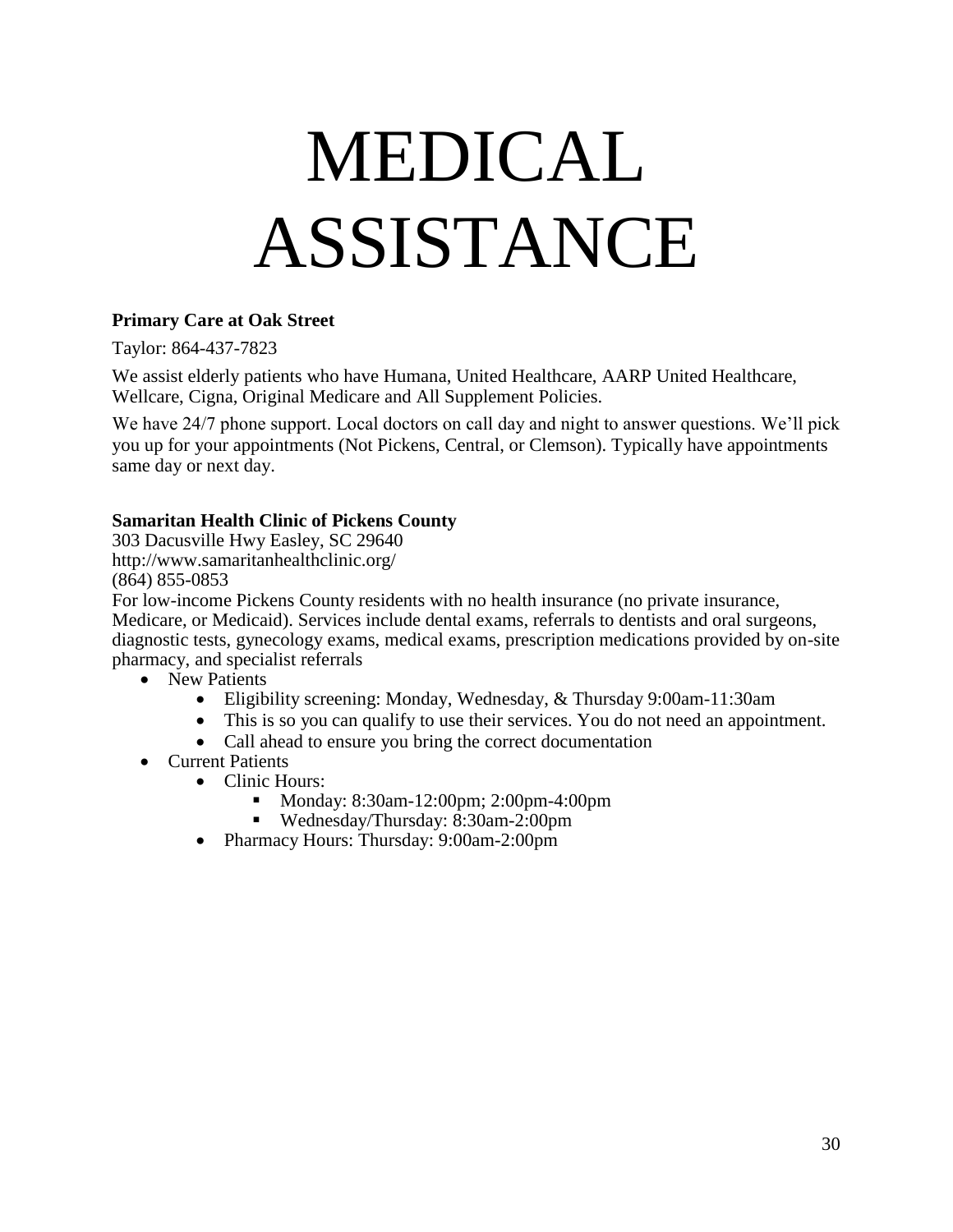# MEDICAL ASSISTANCE

#### **Primary Care at Oak Street**

Taylor: 864-437-7823

We assist elderly patients who have Humana, United Healthcare, AARP United Healthcare, Wellcare, Cigna, Original Medicare and All Supplement Policies.

We have 24/7 phone support. Local doctors on call day and night to answer questions. We'll pick you up for your appointments (Not Pickens, Central, or Clemson). Typically have appointments same day or next day.

#### **Samaritan Health Clinic of Pickens County**

303 Dacusville Hwy Easley, SC 29640 <http://www.samaritanhealthclinic.org/> (864) 855-0853

For low-income Pickens County residents with no health insurance (no private insurance, Medicare, or Medicaid). Services include dental exams, referrals to dentists and oral surgeons, diagnostic tests, gynecology exams, medical exams, prescription medications provided by on-site pharmacy, and specialist referrals

- New Patients
	- Eligibility screening: Monday, Wednesday, & Thursday 9:00am-11:30am
	- This is so you can qualify to use their services. You do not need an appointment.
	- Call ahead to ensure you bring the correct documentation
- Current Patients
	- Clinic Hours:
		- **Monday: 8:30am-12:00pm; 2:00pm-4:00pm**
		- Wednesday/Thursday: 8:30am-2:00pm
	- Pharmacy Hours: Thursday: 9:00am-2:00pm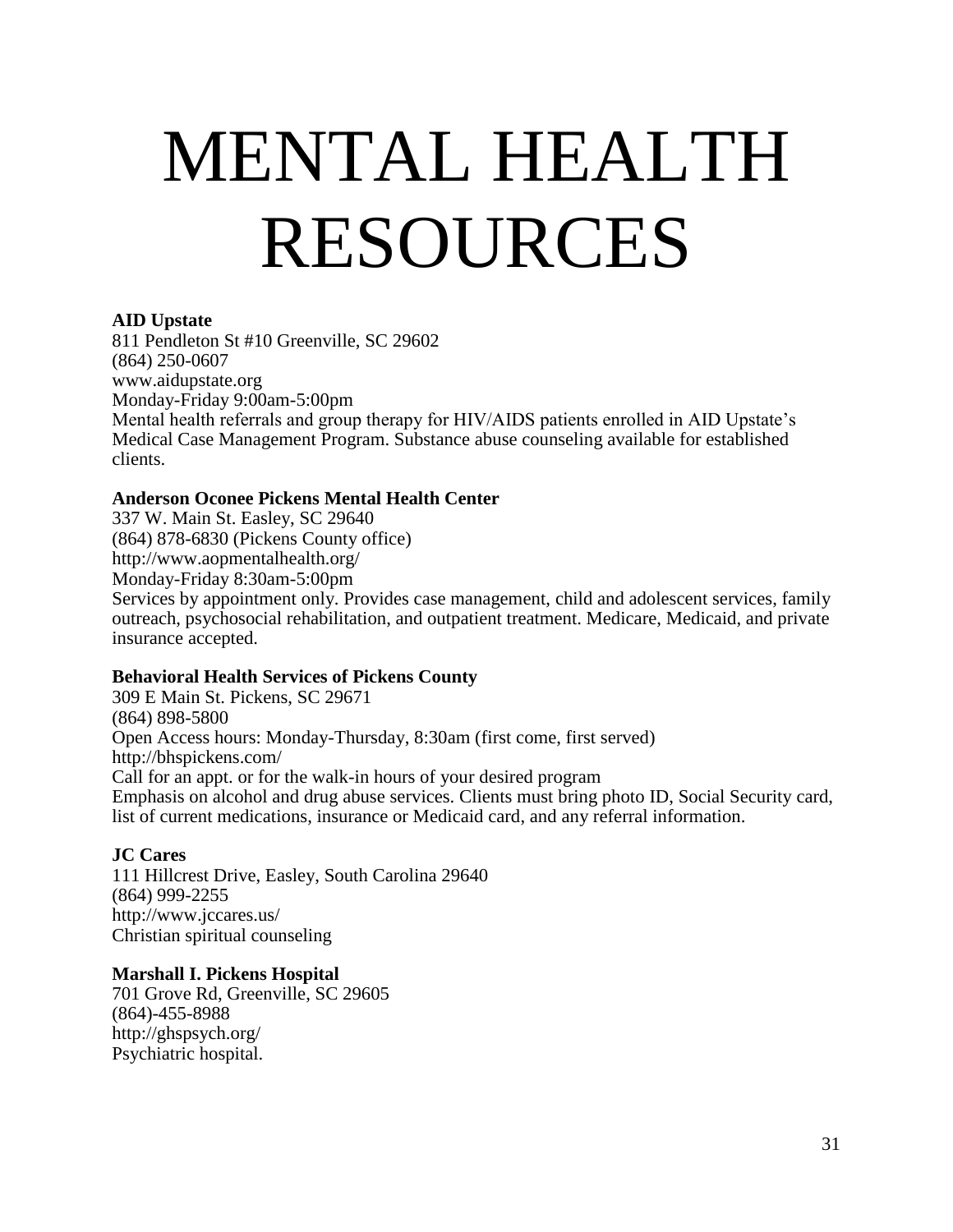# MENTAL HEALTH RESOURCES

#### **AID Upstate**

811 Pendleton St #10 Greenville, SC 29602 (864) 250-0607 [www.aidupstate.org](http://www.aidupstate.org/) Monday-Friday 9:00am-5:00pm Mental health referrals and group therapy for HIV/AIDS patients enrolled in AID Upstate's Medical Case Management Program. Substance abuse counseling available for established clients.

#### **Anderson Oconee Pickens Mental Health Center**

337 W. Main St. Easley, SC 29640 (864) 878-6830 (Pickens County office) <http://www.aopmentalhealth.org/> Monday-Friday 8:30am-5:00pm Services by appointment only. Provides case management, child and adolescent services, family outreach, psychosocial rehabilitation, and outpatient treatment. Medicare, Medicaid, and private insurance accepted.

#### **Behavioral Health Services of Pickens County**

309 E Main St. Pickens, SC 29671 (864) 898-5800 Open Access hours: Monday-Thursday, 8:30am (first come, first served) <http://bhspickens.com/> Call for an appt. or for the walk-in hours of your desired program Emphasis on alcohol and drug abuse services. Clients must bring photo ID, Social Security card, list of current medications, insurance or Medicaid card, and any referral information.

#### **JC Cares**

111 Hillcrest Drive, Easley, South Carolina 29640 (864) 999-2255 <http://www.jccares.us/> Christian spiritual counseling

#### **Marshall I. Pickens Hospital**

701 Grove Rd, Greenville, SC 29605 (864)-455-8988 <http://ghspsych.org/> Psychiatric hospital.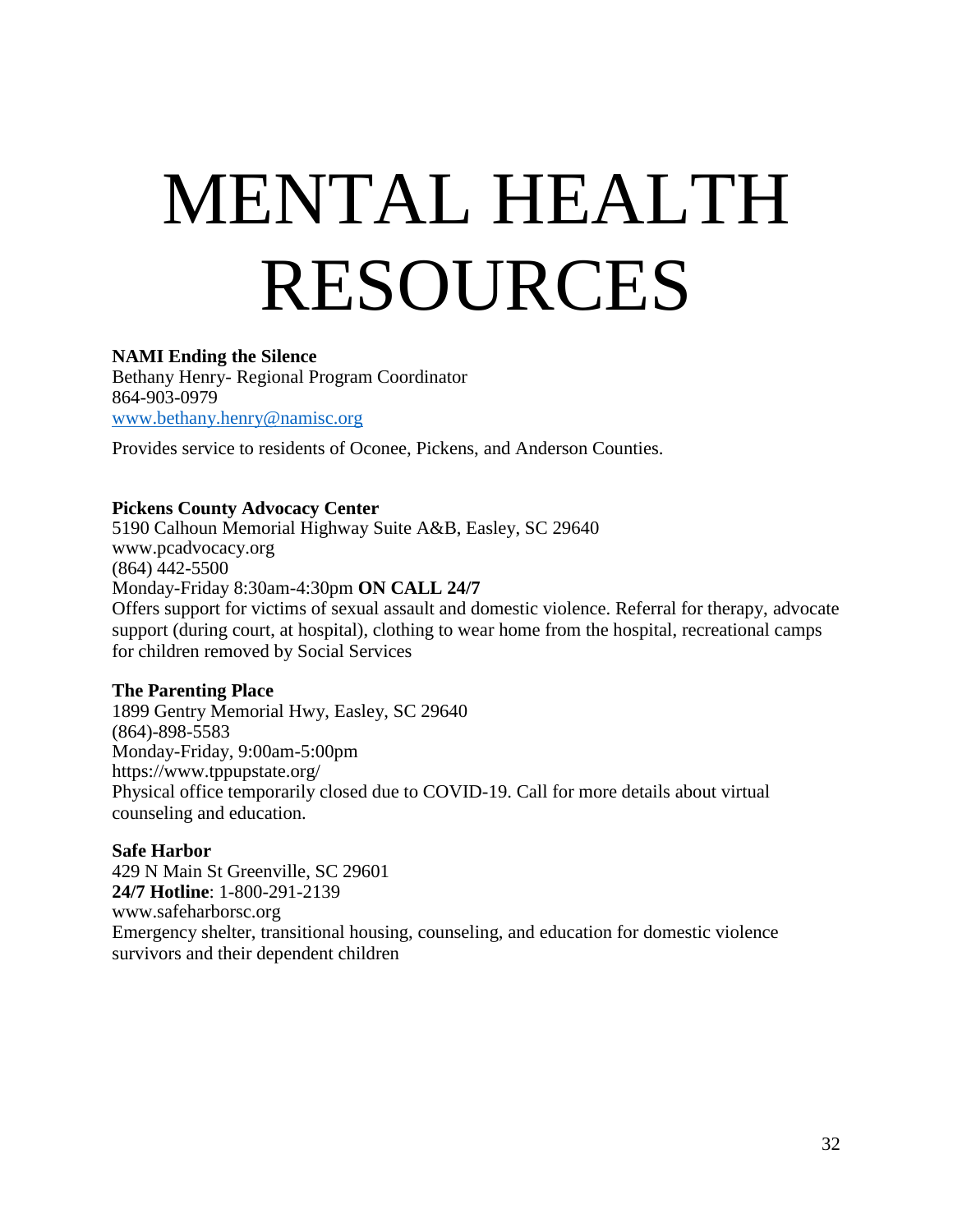# MENTAL HEALTH RESOURCES

#### **NAMI Ending the Silence**

Bethany Henry- Regional Program Coordinator 864-903-0979 [www.bethany.henry@namisc.org](http://www.bethany.henry@namisc.org)

Provides service to residents of Oconee, Pickens, and Anderson Counties.

#### **Pickens County Advocacy Center**

5190 Calhoun Memorial Highway Suite A&B, Easley, SC 29640 [www.pcadvocacy.org](http://www.pcadvocacy.org/) (864) 442-5500 Monday-Friday 8:30am-4:30pm **ON CALL 24/7** Offers support for victims of sexual assault and domestic violence. Referral for therapy, advocate support (during court, at hospital), clothing to wear home from the hospital, recreational camps for children removed by Social Services

#### **The Parenting Place**

1899 Gentry Memorial Hwy, Easley, SC 29640 (864)-898-5583 Monday-Friday, 9:00am-5:00pm <https://www.tppupstate.org/> Physical office temporarily closed due to COVID-19. Call for more details about virtual counseling and education.

#### **Safe Harbor**

429 N Main St Greenville, SC 29601 **24/7 Hotline**: 1-800-291-2139 [www.safeharborsc.org](http://www.safeharborsc.org/) Emergency shelter, transitional housing, counseling, and education for domestic violence survivors and their dependent children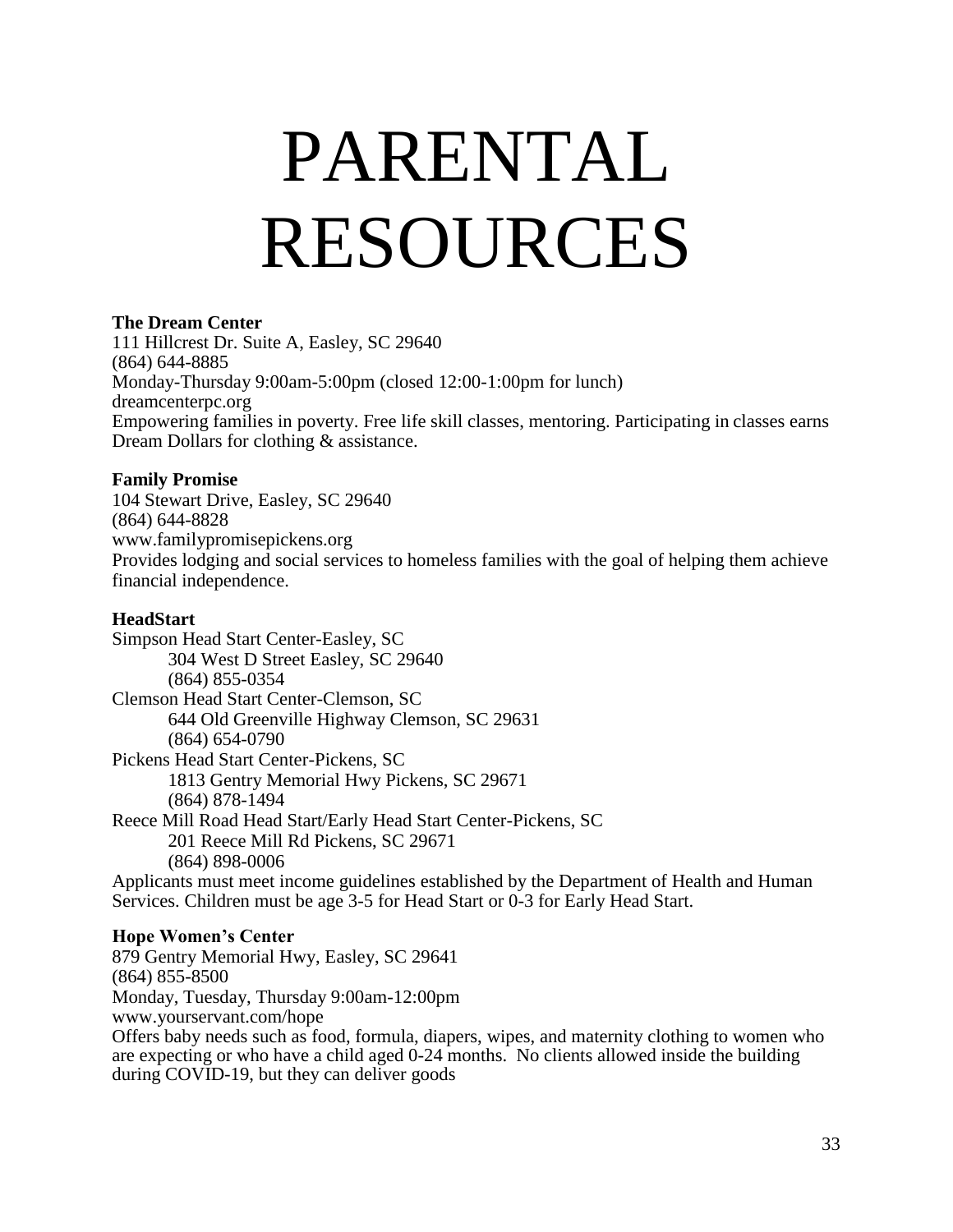# PARENTAL RESOURCES

#### **The Dream Center**

111 Hillcrest Dr. Suite A, Easley, SC 29640 (864) 644-8885 Monday-Thursday 9:00am-5:00pm (closed 12:00-1:00pm for lunch) dreamcenterpc.org Empowering families in poverty. Free life skill classes, mentoring. Participating in classes earns Dream Dollars for clothing & assistance.

#### **Family Promise**

104 Stewart Drive, Easley, SC 29640 (864) 644-8828 www.familypromisepickens.org Provides lodging and social services to homeless families with the goal of helping them achieve financial independence.

#### **HeadStart**

Simpson Head Start Center-Easley, SC 304 West D Street Easley, SC 29640 (864) 855-0354 Clemson Head Start Center-Clemson, SC 644 Old Greenville Highway Clemson, SC 29631 (864) 654-0790 Pickens Head Start Center-Pickens, SC 1813 Gentry Memorial Hwy Pickens, SC 29671 (864) 878-1494 Reece Mill Road Head Start/Early Head Start Center-Pickens, SC 201 Reece Mill Rd Pickens, SC 29671 (864) 898-0006 Applicants must meet income guidelines established by the Department of Health and Human Services. Children must be age 3-5 for Head Start or 0-3 for Early Head Start.

#### **Hope Women's Center**

879 Gentry Memorial Hwy, Easley, SC 29641 (864) 855-8500 Monday, Tuesday, Thursday 9:00am-12:00pm [www.yourservant.com/hope](http://www.yourservant.com/hope) Offers baby needs such as food, formula, diapers, wipes, and maternity clothing to women who are expecting or who have a child aged 0-24 months. No clients allowed inside the building during COVID-19, but they can deliver goods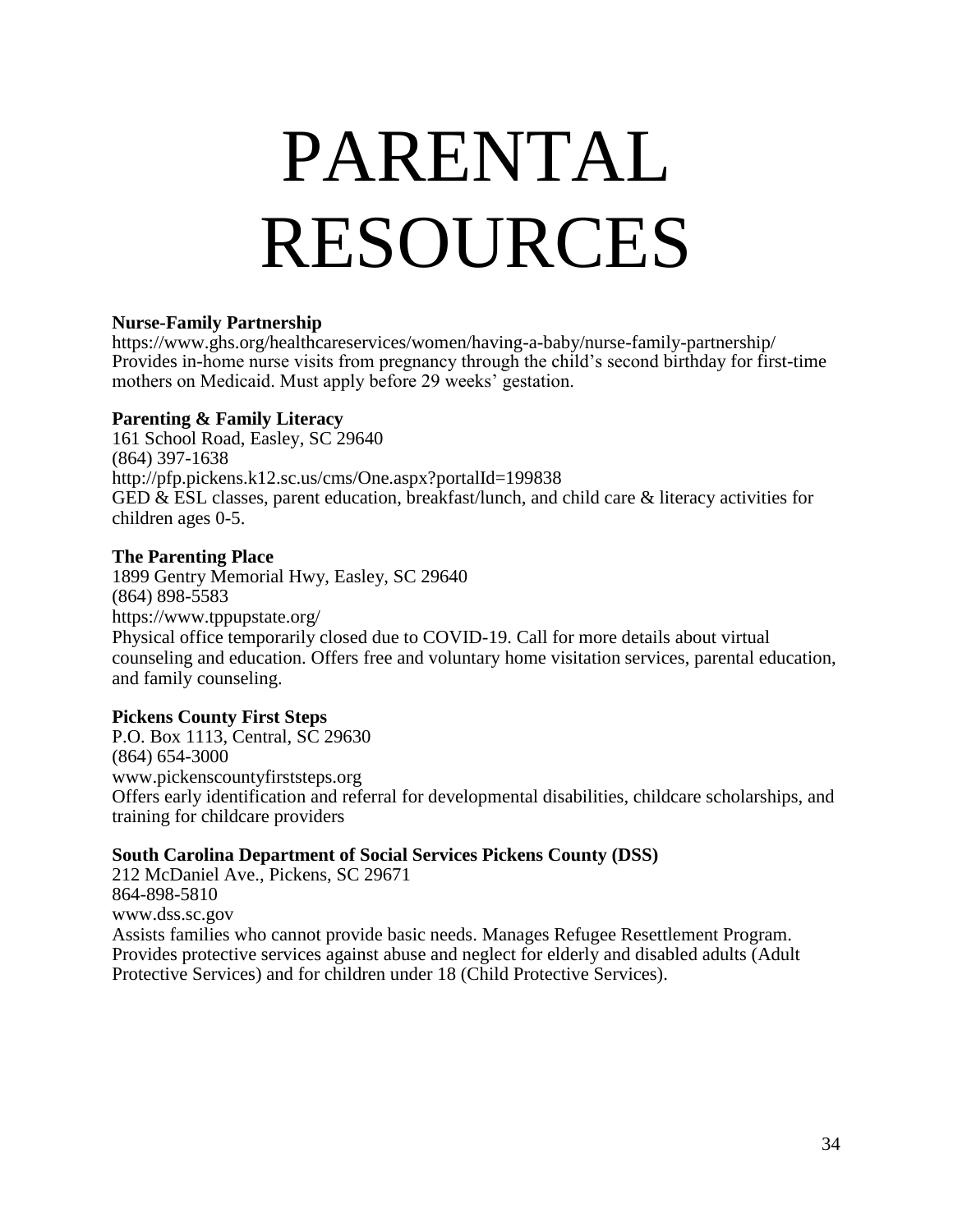# PARENTAL RESOURCES

#### **Nurse-Family Partnership**

<https://www.ghs.org/healthcareservices/women/having-a-baby/nurse-family-partnership/> Provides in-home nurse visits from pregnancy through the child's second birthday for first-time mothers on Medicaid. Must apply before 29 weeks' gestation.

#### **Parenting & Family Literacy**

161 School Road, Easley, SC 29640 (864) 397-1638 <http://pfp.pickens.k12.sc.us/cms/One.aspx?portalId=199838> GED & ESL classes, parent education, breakfast/lunch, and child care & literacy activities for children ages 0-5.

#### **The Parenting Place**

1899 Gentry Memorial Hwy, Easley, SC 29640 (864) 898-5583 <https://www.tppupstate.org/> Physical office temporarily closed due to COVID-19. Call for more details about virtual counseling and education. Offers free and voluntary home visitation services, parental education, and family counseling.

#### **Pickens County First Steps**

P.O. Box 1113, Central, SC 29630 (864) 654-3000 [www.pickenscountyfirststeps.org](http://www.pickenscountyfirststeps.org/) Offers early identification and referral for developmental disabilities, childcare scholarships, and training for childcare providers

#### **South Carolina Department of Social Services Pickens County (DSS)**

212 McDaniel Ave., Pickens, SC 29671 864-898-5810 [www.dss.sc.gov](http://www.dss.sc.gov/) Assists families who cannot provide basic needs. Manages Refugee Resettlement Program. Provides protective services against abuse and neglect for elderly and disabled adults (Adult Protective Services) and for children under 18 (Child Protective Services).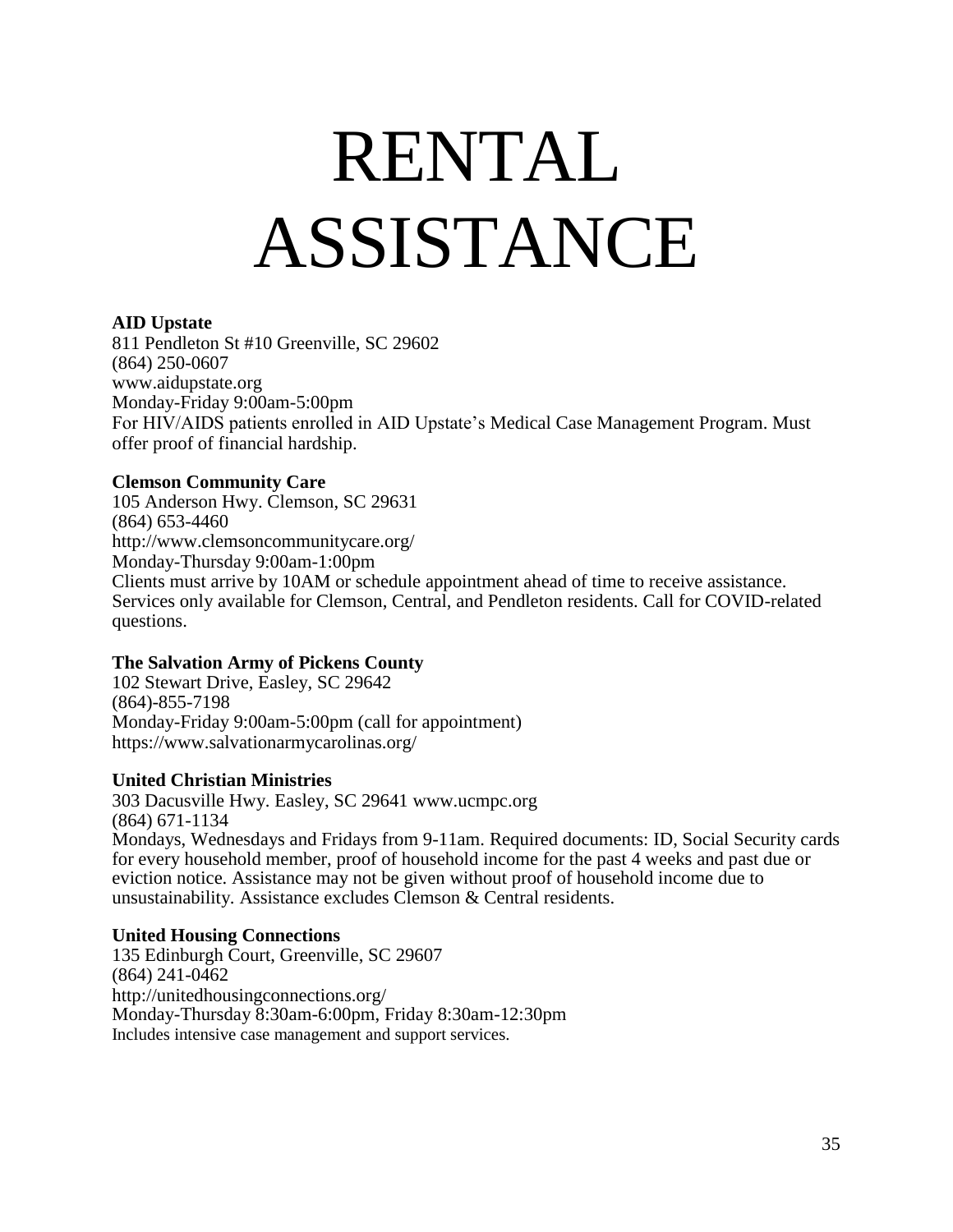# <span id="page-34-0"></span>RENTAL ASSISTANCE

#### **AID Upstate**

811 Pendleton St #10 Greenville, SC 29602 (864) 250-0607 [www.aidupstate.org](http://www.aidupstate.org/) Monday-Friday 9:00am-5:00pm For HIV/AIDS patients enrolled in AID Upstate's Medical Case Management Program. Must offer proof of financial hardship.

#### **Clemson Community Care**

105 Anderson Hwy. Clemson, SC 29631 (864) 653-4460 <http://www.clemsoncommunitycare.org/> Monday-Thursday 9:00am-1:00pm Clients must arrive by 10AM or schedule appointment ahead of time to receive assistance. Services only available for Clemson, Central, and Pendleton residents. Call for COVID-related questions.

#### **The Salvation Army of Pickens County**

102 Stewart Drive, Easley, SC 29642 (864)-855-7198 Monday-Friday 9:00am-5:00pm (call for appointment) <https://www.salvationarmycarolinas.org/>

#### **United Christian Ministries**

303 Dacusville Hwy. Easley, SC 29641 [www.ucmpc.org](http://www.ucmpc.org/) (864) 671-1134 Mondays, Wednesdays and Fridays from 9-11am. Required documents: ID, Social Security cards for every household member, proof of household income for the past 4 weeks and past due or eviction notice. Assistance may not be given without proof of household income due to unsustainability. Assistance excludes Clemson & Central residents.

#### **United Housing Connections**

135 Edinburgh Court, Greenville, SC 29607 (864) 241-0462 <http://unitedhousingconnections.org/> Monday-Thursday 8:30am-6:00pm, Friday 8:30am-12:30pm Includes intensive case management and support services.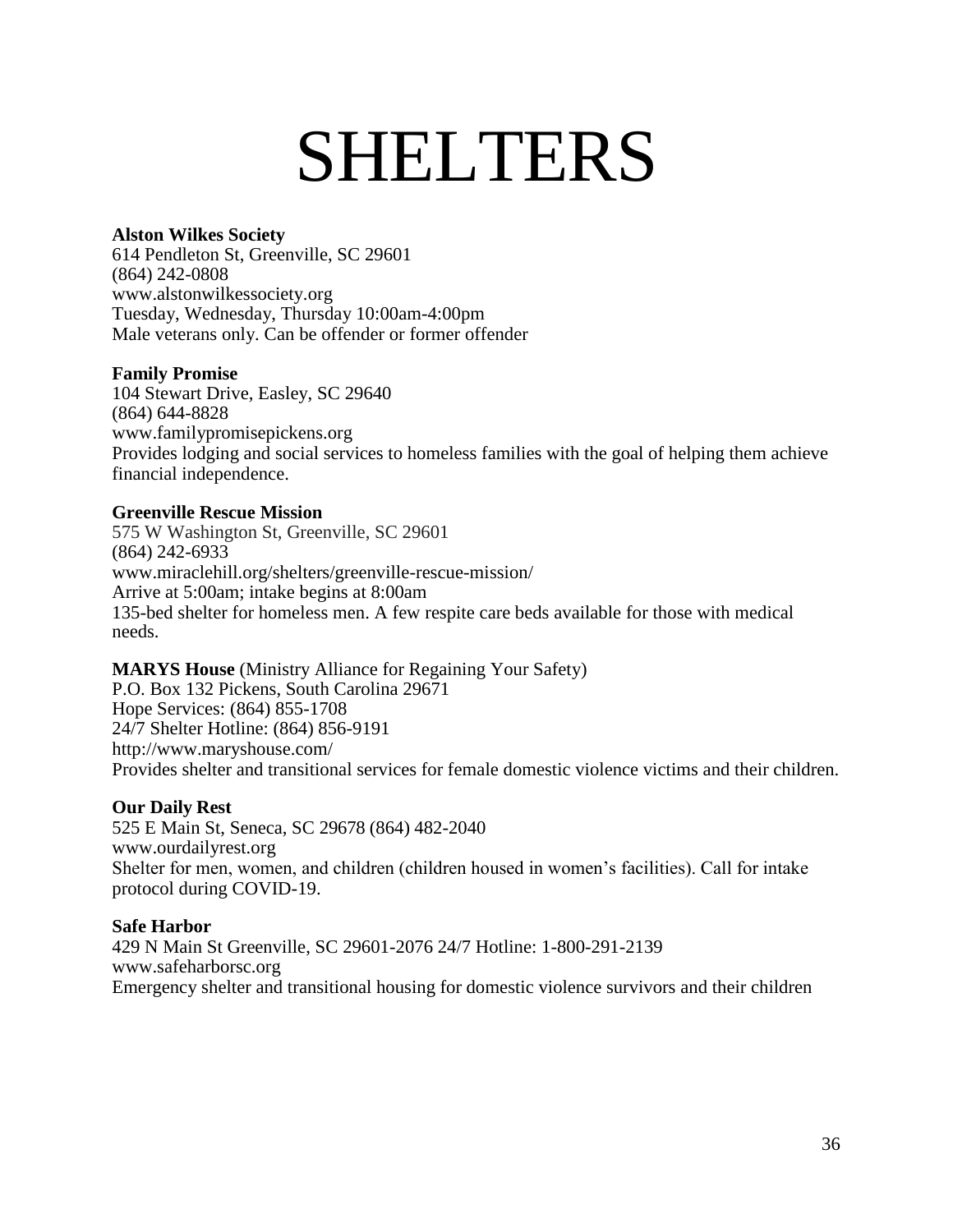### SHELTERS

#### **Alston Wilkes Society**

614 Pendleton St, Greenville, SC 29601 (864) 242-0808 [www.alstonwilkessociety.org](http://www.alstonwilkessociety.org/) Tuesday, Wednesday, Thursday 10:00am-4:00pm Male veterans only. Can be offender or former offender

#### **Family Promise**

104 Stewart Drive, Easley, SC 29640 (864) 644-8828 www.familypromisepickens.org Provides lodging and social services to homeless families with the goal of helping them achieve financial independence.

#### **Greenville Rescue Mission**

575 W Washington St, Greenville, SC 29601 (864) 242-6933 [www.miraclehill.org/shelters/greenville-rescue-mission/](http://www.miraclehill.org/shelters/greenville-rescue-mission/) Arrive at 5:00am; intake begins at 8:00am 135-bed shelter for homeless men. A few respite care beds available for those with medical needs.

#### **MARYS House** (Ministry Alliance for Regaining Your Safety)

P.O. Box 132 Pickens, South Carolina 29671 Hope Services: (864) 855-1708 24/7 Shelter Hotline: (864) 856-9191 <http://www.maryshouse.com/> Provides shelter and transitional services for female domestic violence victims and their children.

#### **Our Daily Rest**

525 E Main St, Seneca, SC 29678 (864) 482-2040 [www.ourdailyrest.org](http://www.ourdailyrest.org/) Shelter for men, women, and children (children housed in women's facilities). Call for intake protocol during COVID-19.

#### **Safe Harbor**

429 N Main St Greenville, SC 29601-2076 24/7 Hotline: 1-800-291-2139 [www.safeharborsc.org](http://www.safeharborsc.org/) Emergency shelter and transitional housing for domestic violence survivors and their children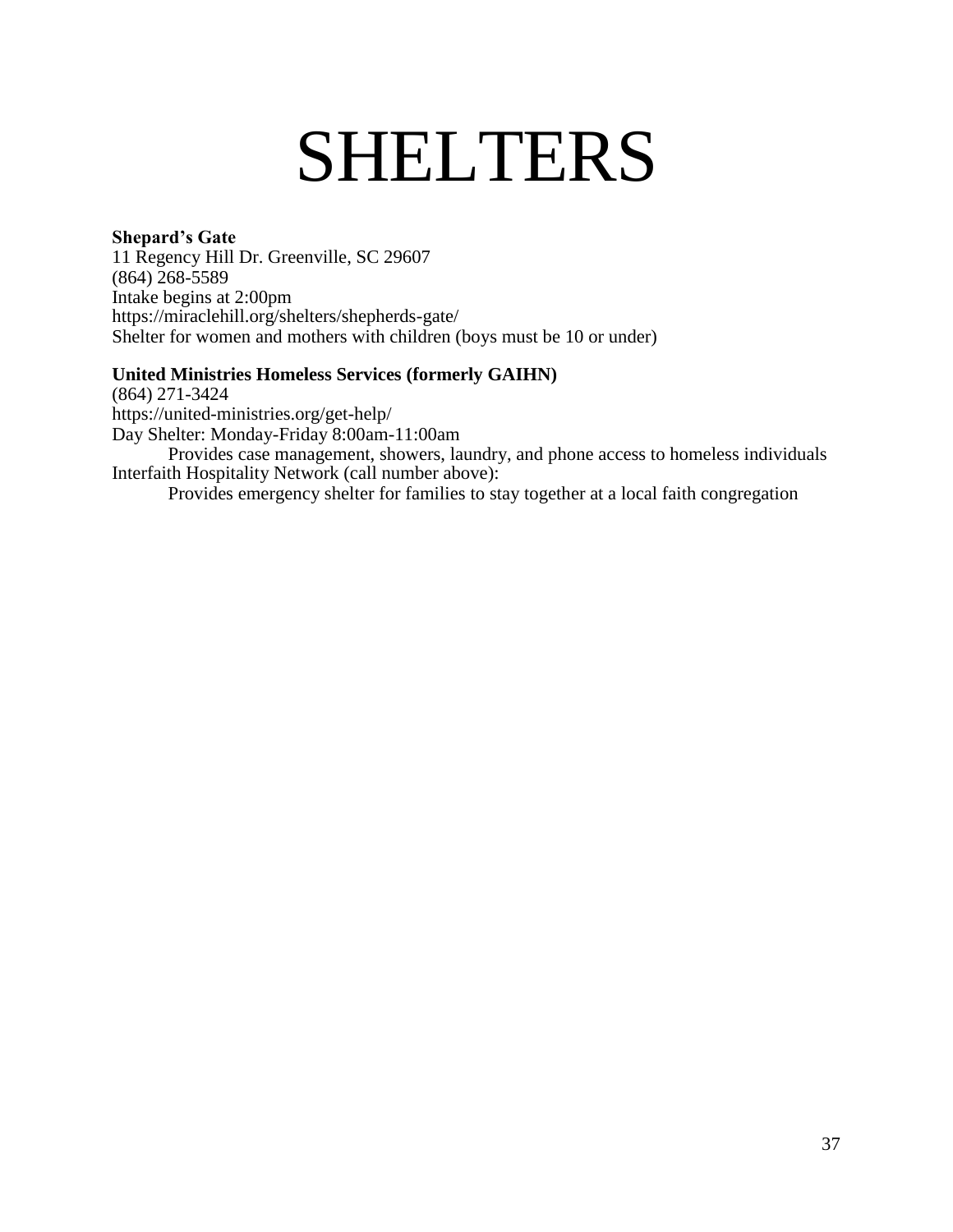### SHELTERS

#### **Shepard's Gate**

11 Regency Hill Dr. Greenville, SC 29607 (864) 268-5589 Intake begins at 2:00pm <https://miraclehill.org/shelters/shepherds-gate/> Shelter for women and mothers with children (boys must be 10 or under)

#### **United Ministries Homeless Services (formerly GAIHN)**

(864) 271-3424 <https://united-ministries.org/get-help/> Day Shelter: Monday-Friday 8:00am-11:00am Provides case management, showers, laundry, and phone access to homeless individuals Interfaith Hospitality Network (call number above):

Provides emergency shelter for families to stay together at a local faith congregation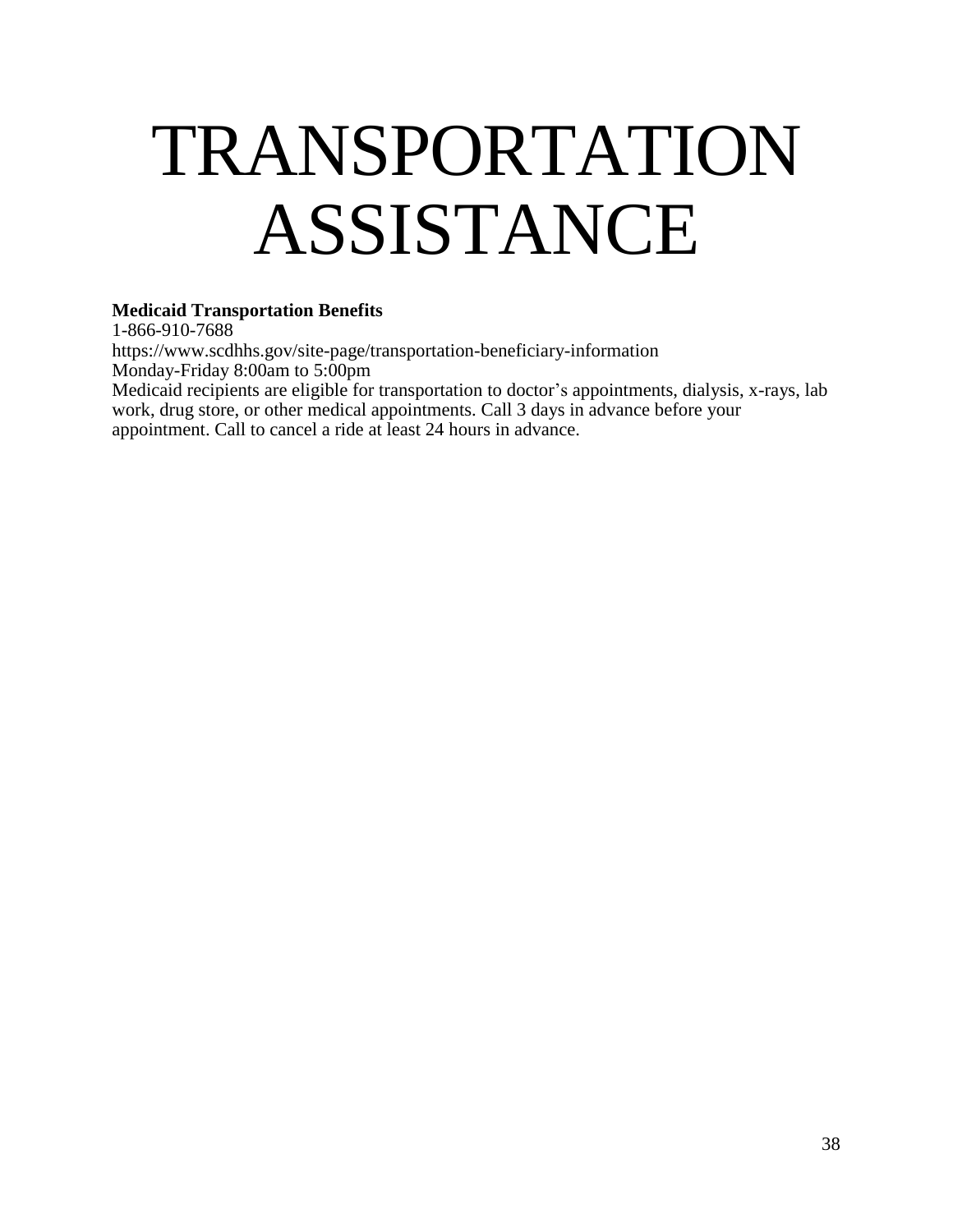### <span id="page-37-0"></span>TRANSPORTATION ASSISTANCE

#### **Medicaid Transportation Benefits**

1-866-910-7688 [https://www.scdhhs.gov/site-page/transportation-beneficiary-information](http://www.scdhhs.gov/site-page/transportation-beneficiary-information) Monday-Friday 8:00am to 5:00pm Medicaid recipients are eligible for transportation to doctor's appointments, dialysis, x-rays, lab work, drug store, or other medical appointments. Call 3 days in advance before your appointment. Call to cancel a ride at least 24 hours in advance.